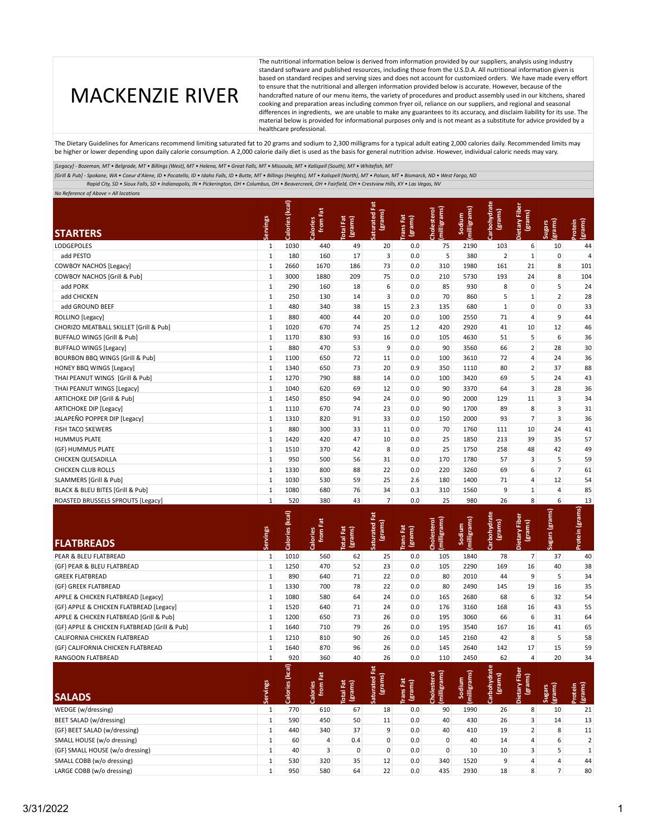## MACKENZIE RIVER

The nutritional information below is derived from information provided by our suppliers, analysis using industry standard software and published resources, including those from the U.S.D.A. All nutritional information given is based on standard recipes and serving sizes and does not account for customized orders. We have made every effort to ensure that the nutritional and allergen information provided below is accurate. However, because of the handcrafted nature of our menu items, the variety of procedures and product assembly used in our kitchens, shared cooking and preparation areas including common fryer oil, reliance on our suppliers, and regional and seasonal differences in ingredients, we are unable to make any guarantees to its accuracy, and disclaim liability for its use. The material below is provided for informational purposes only and is not meant as a substitute for advice provided by a healthcare professional.

The Dietary Guidelines for Americans recommend limiting saturated fat to 20 grams and sodium to 2,300 milligrams for a typical adult eating 2,000 calories daily. Recommended limits may be higher or lower depending upon daily calorie consumption. A 2,000 calorie daily diet is used as the basis for general nutrition advise. However, individual caloric needs may vary.

*[Legacy] - Bozeman, MT • Belgrade, MT • Billings (West), MT • Helena, MT • Great Falls, MT • Missoula, MT • Kalispell (South), MT • Whitefish, MT*

*[Grill & Pub] - Spokane, WA • Coeur d'Alene, ID • Pocatello, ID • Idaho Falls, ID • Butte, MT • Billings (Heights), MT • Kalispell (North), MT • Polson, MT • Bismarck, ND • West Fargo, ND*

 *Rapid City, SD • Sioux Falls, SD • Indianapolis, IN • Pickerington, OH • Columbus, OH • Beavercreek, OH • Fairfield, OH • Crestview Hills, KY • Las Vegas, NV*

*No Reference of Above = All locations* 

| <b>STARTERS</b>                                        | ervings                    | Calories (kcal)              | from Fat<br>Calories | otal Fat<br>(grams)            | ă<br>(grams)<br>aturated        | rans Fat<br>(grams) | milligrams<br>Cholester         | [milligrams]<br>Sodium                          | bohydrate<br>(grams)       | <b>Dietary Fiber</b><br>(grams) | grams)<br><b>Sugars</b>  | protein<br>(grams) |
|--------------------------------------------------------|----------------------------|------------------------------|----------------------|--------------------------------|---------------------------------|---------------------|---------------------------------|-------------------------------------------------|----------------------------|---------------------------------|--------------------------|--------------------|
| LODGEPOLES                                             | $\mathbf{1}$               | 1030                         | 440                  | 49                             | 20                              | 0.0                 | 75                              | 2190                                            | 103                        | 6                               | 10                       | 44                 |
| add PESTO                                              | $\mathbf{1}$               | 180                          | 160                  | 17                             | 3                               | 0.0                 | 5                               | 380                                             | $\overline{2}$             | $\mathbf{1}$                    | 0                        | 4                  |
| <b>COWBOY NACHOS [Legacy]</b>                          | $\mathbf{1}$               | 2660                         | 1670                 | 186                            | 73                              | 0.0                 | 310                             | 1980                                            | 161                        | 21                              | 8                        | 101                |
| COWBOY NACHOS [Grill & Pub]                            | $\mathbf{1}$               | 3000                         | 1880                 | 209                            | 75                              | 0.0                 | 210                             | 5730                                            | 193                        | 24                              | 8                        | 104                |
| add PORK                                               | $1\,$                      | 290                          | 160                  | 18                             | 6                               | 0.0                 | 85                              | 930                                             | 8                          | 0                               | 5                        | 24                 |
| add CHICKEN                                            | $\mathbf{1}$               | 250                          | 130                  | 14                             | 3                               | 0.0                 | 70                              | 860                                             | 5                          | $\mathbf 1$                     | $\overline{2}$           | 28                 |
| add GROUND BEEF                                        | $\mathbf{1}$               | 480                          | 340                  | 38                             | 15                              | 2.3                 | 135                             | 680                                             | $\mathbf{1}$               | 0                               | 0                        | 33                 |
| ROLLINO [Legacy]                                       | $\mathbf{1}$               | 880                          | 400                  | 44                             | 20                              | 0.0                 | 100                             | 2550                                            | 71                         | 4                               | 9                        | 44                 |
| CHORIZO MEATBALL SKILLET [Grill & Pub]                 | $\mathbf{1}$               | 1020                         | 670                  | 74                             | 25                              | 1.2                 | 420                             | 2920                                            | 41                         | 10                              | 12                       | 46                 |
| BUFFALO WINGS [Grill & Pub]                            | $\mathbf 1$                | 1170                         | 830                  | 93                             | 16                              | 0.0                 | 105                             | 4630                                            | 51                         | 5                               | 6                        | 36                 |
| <b>BUFFALO WINGS [Legacy]</b>                          | $\mathbf{1}$               | 880                          | 470                  | 53                             | 9                               | 0.0                 | 90                              | 3560                                            | 66                         | $\overline{2}$                  | 28                       | 30                 |
| BOURBON BBQ WINGS [Grill & Pub]                        | $\mathbf{1}$               | 1100                         | 650                  | 72                             | 11                              | 0.0                 | 100                             | 3610                                            | 72                         | 4                               | 24                       | 36                 |
| HONEY BBQ WINGS [Legacy]                               | $\mathbf{1}$               | 1340                         | 650                  | 73                             | 20                              | 0.9                 | 350                             | 1110                                            | 80                         | $\overline{2}$                  | 37                       | 88                 |
| THAI PEANUT WINGS [Grill & Pub]                        | $\mathbf{1}$               | 1270                         | 790                  | 88                             | 14                              | 0.0                 | 100                             | 3420                                            | 69                         | 5                               | 24                       | 43                 |
| THAI PEANUT WINGS [Legacy]                             | $\mathbf 1$                | 1040                         | 620                  | 69                             | 12                              | 0.0                 | 90                              | 3370                                            | 64                         | 3                               | 28                       | 36                 |
| ARTICHOKE DIP [Grill & Pub]                            | $\mathbf{1}$               | 1450                         | 850                  | 94                             | 24                              | 0.0                 | 90                              | 2000                                            | 129                        | 11                              | 3                        | 34                 |
| <b>ARTICHOKE DIP [Legacy]</b>                          | $\mathbf{1}$               | 1110                         | 670                  | 74                             | 23                              | 0.0                 | 90                              | 1700                                            | 89                         | 8                               | 3                        | 31                 |
| JALAPEÑO POPPER DIP [Legacy]                           | $\mathbf{1}$               | 1310                         | 820                  | 91                             | 33                              | 0.0                 | 150                             | 2000                                            | 93                         | $\overline{7}$                  | 3                        | 36                 |
| FISH TACO SKEWERS                                      | $\mathbf{1}$               | 880                          | 300                  | 33                             | 11                              | 0.0                 | 70                              | 1760                                            | 111                        | 10                              | 24                       | 41                 |
| <b>HUMMUS PLATE</b>                                    | $\mathbf{1}$               | 1420                         | 420                  | 47                             | 10                              | 0.0                 | 25                              | 1850                                            | 213                        | 39                              | 35                       | 57                 |
| {GF} HUMMUS PLATE                                      | $\mathbf{1}$               | 1510                         | 370                  | 42                             | 8                               | 0.0                 | 25                              | 1750                                            | 258                        | 48                              | 42                       | 49                 |
| <b>CHICKEN QUESADILLA</b>                              | $\mathbf{1}$               | 950                          | 500                  | 56                             | 31                              | 0.0                 | 170                             | 1780                                            | 57                         | 3                               | 5                        | 59                 |
| <b>CHICKEN CLUB ROLLS</b>                              | $\mathbf{1}$               | 1330                         | 800                  | 88                             | 22                              | 0.0                 | 220                             | 3260                                            | 69                         | 6                               | $\overline{7}$           | 61                 |
| SLAMMERS [Grill & Pub]                                 | $\mathbf{1}$               | 1030                         | 530                  | 59                             | 25                              | 2.6                 | 180                             | 1400                                            | 71                         | 4                               | 12                       | 54                 |
| BLACK & BLEU BITES [Grill & Pub]                       | $\mathbf{1}$               | 1080                         | 680                  | 76                             | 34                              | 0.3                 | 310                             | 1560                                            | 9                          | $\mathbf 1$                     | 4                        | 85                 |
| ROASTED BRUSSELS SPROUTS [Legacy]                      | $\mathbf{1}$               | 520                          | 380                  | 43                             | $\overline{7}$                  | 0.0                 | 25                              | 980                                             | 26                         | 8                               | 6                        | 13                 |
| <b>FLATBREADS</b>                                      | ervings                    | Calories (kcal)              | from Fat<br>Calories | Fat<br>(grams)<br><b>letal</b> | ă<br>(grams)<br><b>aturated</b> | rans Fat<br>(grams) | milligrams<br>Cholestero        | milligrams<br>Sodium                            | bohydrate<br>(grams)       | <b>Dietary Fiber</b><br>(grams) | Sugars (grams)           | Protein (grams)    |
| PEAR & BLEU FLATBREAD                                  | $\mathbf{1}$               | 1010                         | 560                  | 62                             | 25                              | 0.0                 | 105                             | 1840                                            | 78                         | $\overline{7}$                  | 37                       | 40                 |
| {GF} PEAR & BLEU FLATBREAD                             | $\mathbf{1}$               | 1250                         | 470                  | 52                             | 23                              | 0.0                 | 105                             | 2290                                            | 169                        | 16                              | 40                       | 38                 |
| <b>GREEK FLATBREAD</b>                                 | $\mathbf{1}$               | 890                          | 640                  | 71                             | 22                              | 0.0                 | 80                              | 2010                                            | 44                         | 9                               | 5                        | 34                 |
| {GF} GREEK FLATBREAD                                   | $\mathbf{1}$               | 1330                         | 700                  | 78                             | 22                              | $0.0\,$             | 80                              | 2490                                            | 145                        | 19                              | 16                       | 35                 |
| APPLE & CHICKEN FLATBREAD [Legacy]                     | $\mathbf{1}$               | 1080                         | 580                  | 64                             | 24                              | 0.0                 | 165                             | 2680                                            | 68                         | 6                               | 32                       | 54                 |
| {GF} APPLE & CHICKEN FLATBREAD [Legacy]                | $\mathbf{1}$               | 1520                         | 640                  | 71                             | 24                              | 0.0                 | 176                             | 3160                                            | 168                        | 16                              | 43                       | 55                 |
| APPLE & CHICKEN FLATBREAD [Grill & Pub]                | $\mathbf{1}$               | 1200                         | 650                  | 73                             | 26                              | 0.0                 | 195                             | 3060                                            | 66                         | 6                               | 31                       | 64                 |
| (GF) APPLE & CHICKEN FLATBREAD [Grill & Pub]           | $\mathbf{1}$               | 1640                         | 710                  | 79                             | 26                              | 0.0                 | 195                             | 3540                                            | 167                        | 16                              | 41                       | 65                 |
| CALIFORNIA CHICKEN FLATBREAD                           | $\mathbf{1}$               | 1210                         | 810                  | 90                             | 26                              | 0.0                 | 145                             | 2160                                            | 42                         | 8                               | 5                        | 58                 |
| <b>{GF} CALIFORNIA CHICKEN FLATBREAD</b>               | $\mathbf{1}$               | 1640                         | 870                  | 96                             | 26                              | 0.0                 | 145                             | 2640                                            | 142                        | 17                              | 15                       | 59                 |
| RANGOON FLATBREAD                                      | $\mathbf{1}$               | 920                          | 360                  | 40                             | 26                              | 0.0                 | 110                             | 2450                                            | 62                         | 4                               | 20                       | 34                 |
|                                                        | Servings                   | $\widehat{a}$<br>Calories (k | from Fat<br>Calories | <b>Total Fat</b><br>(grams)    | 荒<br>(grams)<br>aturated        | rans Fat<br>(grams) | = ದ<br>milligrams)<br>Cholester | $\widehat{\mathbf{v}}$<br>sodium<br>(milligram: | ate<br>(grams)<br>rbohydr: | উ<br>Dietary Fib<br>(grams)     | (grams)<br><b>Sugars</b> | (grams)<br>rotein  |
| <b>SALADS</b>                                          |                            |                              |                      |                                |                                 |                     |                                 |                                                 |                            |                                 |                          |                    |
| WEDGE (w/dressing)                                     | $\mathbf{1}$               | 770                          | 610                  | 67                             | 18                              | 0.0                 | 90                              | 1990                                            | 26                         | 8                               | 10                       | 21                 |
| <b>BEET SALAD (w/dressing)</b>                         |                            | 590                          | 450                  | 50                             | 11                              | 0.0                 | 40                              | 430                                             | 26                         | 3                               | 14                       | 13                 |
| {GF} BEET SALAD (w/dressing)                           | $\mathbf 1$                |                              |                      |                                |                                 |                     |                                 |                                                 |                            |                                 |                          |                    |
|                                                        | $\mathbf 1$                | 440                          | 340                  | 37                             | 9                               | 0.0                 | 40                              | 410                                             | 19                         | $\overline{2}$                  | 8                        | 11                 |
| SMALL HOUSE (w/o dressing)                             | $\mathbf{1}$               | 60                           | 4                    | 0.4                            | $\pmb{0}$                       | 0.0                 | 0                               | 40                                              | 14                         | 4                               | 6                        | $\overline{2}$     |
| {GF} SMALL HOUSE (w/o dressing)                        | $\mathbf 1$                | 40                           | 3                    | $\pmb{0}$                      | $\mathbf 0$                     | 0.0                 | $\mathsf{O}\xspace$             | 10                                              | 10                         | 3                               | 5                        | $\mathbf 1$        |
| SMALL COBB (w/o dressing)<br>LARGE COBB (w/o dressing) | $\mathbf 1$<br>$\mathbf 1$ | 530                          | 320<br>580           | 35<br>64                       | 12<br>22                        | 0.0                 | 340<br>435                      | 1520                                            | 9<br>18                    | 4<br>8                          | 4<br>$\overline{7}$      | 44                 |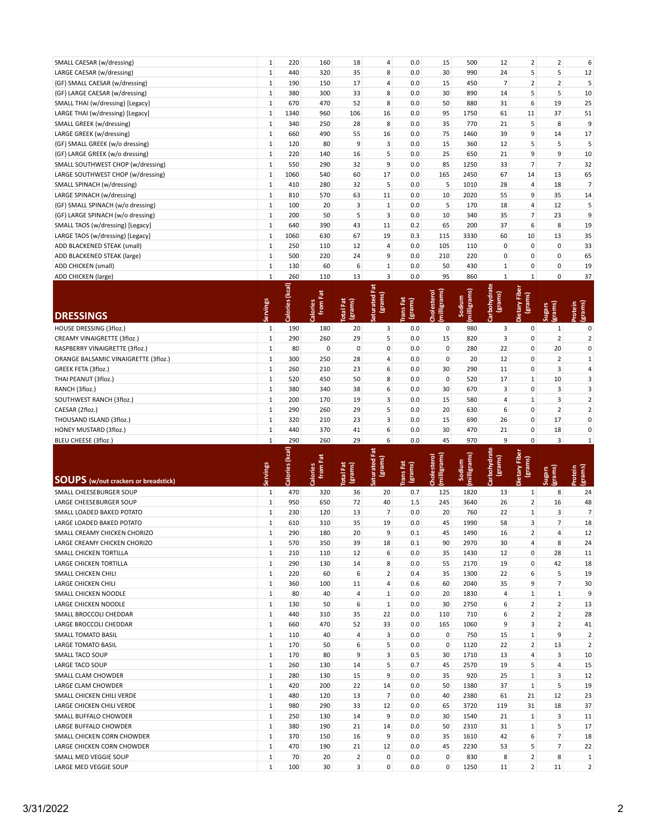| SMALL CAESAR (w/dressing)         | $\mathbf{1}$ | 220  | 160 | 18  | 4              | 0.0 | 15  | 500  | 12             | 2              | 2              | 6  |
|-----------------------------------|--------------|------|-----|-----|----------------|-----|-----|------|----------------|----------------|----------------|----|
| LARGE CAESAR (w/dressing)         | $\mathbf{1}$ | 440  | 320 | 35  | 8              | 0.0 | 30  | 990  | 24             | 5              | 5              | 12 |
| {GF} SMALL CAESAR (w/dressing)    | $\mathbf{1}$ | 190  | 150 | 17  | 4              | 0.0 | 15  | 450  | $\overline{7}$ | $2^{\circ}$    | $\overline{2}$ | 5  |
| {GF} LARGE CAESAR (w/dressing)    | $\mathbf{1}$ | 380  | 300 | 33  | 8              | 0.0 | 30  | 890  | 14             | 5 <sup>1</sup> | 5              | 10 |
| SMALL THAI (w/dressing) [Legacy]  | $\mathbf{1}$ | 670  | 470 | 52  | 8              | 0.0 | 50  | 880  | 31             | 6              | 19             | 25 |
| LARGE THAI (w/dressing) [Legacy]  | $\mathbf{1}$ | 1340 | 960 | 106 | 16             | 0.0 | 95  | 1750 | 61             | 11             | 37             | 51 |
| SMALL GREEK (w/dressing)          | $\mathbf{1}$ | 340  | 250 | 28  | 8              | 0.0 | 35  | 770  | 21             | 5 <sup>1</sup> | 8              | 9  |
| LARGE GREEK (w/dressing)          | $\mathbf{1}$ | 660  | 490 | 55  | 16             | 0.0 | 75  | 1460 | 39             | 9              | 14             | 17 |
| {GF} SMALL GREEK (w/o dressing)   | $\mathbf{1}$ | 120  | 80  | 9   | $\overline{3}$ | 0.0 | 15  | 360  | 12             | 5              | 5              | 5  |
| {GF} LARGE GREEK (w/o dressing)   | $\mathbf{1}$ | 220  | 140 | 16  | 5              | 0.0 | 25  | 650  | 21             | 9              | 9              | 10 |
| SMALL SOUTHWEST CHOP (w/dressing) | $1\vert$     | 550  | 290 | 32  | 9              | 0.0 | 85  | 1250 | 33             | $\overline{7}$ | 7              | 32 |
| LARGE SOUTHWEST CHOP (w/dressing) | 1            | 1060 | 540 | 60  | 17             | 0.0 | 165 | 2450 | 67             | 14             | 13             | 65 |
| SMALL SPINACH (w/dressing)        | $\mathbf{1}$ | 410  | 280 | 32  | 5              | 0.0 | 5   | 1010 | 28             | 4              | 18             | 7  |
| LARGE SPINACH (w/dressing)        | $\mathbf{1}$ | 810  | 570 | 63  | 11             | 0.0 | 10  | 2020 | 55             | 9              | 35             | 14 |
| {GF} SMALL SPINACH (w/o dressing) | $\mathbf{1}$ | 100  | 20  | 3   | $\mathbf{1}$   | 0.0 | 5   | 170  | 18             | 4              | 12             | 5  |
| {GF} LARGE SPINACH (w/o dressing) | $1\vert$     | 200  | 50  | 5   | 3              | 0.0 | 10  | 340  | 35             | $\overline{7}$ | 23             | 9  |
| SMALL TAOS (w/dressing) [Legacy]  | $\mathbf{1}$ | 640  | 390 | 43  | 11             | 0.2 | 65  | 200  | 37             | 6              | 8              | 19 |
| LARGE TAOS (w/dressing) [Legacy]  | $\mathbf{1}$ | 1060 | 630 | 67  | 19             | 0.3 | 115 | 3330 | 60             | 10             | 13             | 35 |
| ADD BLACKENED STEAK (small)       | $\mathbf{1}$ | 250  | 110 | 12  | 4              | 0.0 | 105 | 110  | $\mathbf 0$    | 0              | 0              | 33 |
| ADD BLACKENED STEAK (large)       | $\mathbf{1}$ | 500  | 220 | 24  | 9              | 0.0 | 210 | 220  | $\mathbf 0$    | 0              | 0              | 65 |
| ADD CHICKEN (small)               | $\mathbf{1}$ | 130  | 60  | 6   | $\mathbf{1}$   | 0.0 | 50  | 430  | $\mathbf{1}$   | 0              | 0              | 19 |
| ADD CHICKEN (large)               | 1            | 260  | 110 | 13  | 3              | 0.0 | 95  | 860  | 1              | $\mathbf{1}$   | $\mathbf 0$    | 37 |

| <b>DRESSINGS</b>                     | <b>igo</b> | Calories (kcal) | Fat<br>alories<br>from | otal Fat<br>(grams) | Ξđ<br>turated<br>(gram | Trans Fat<br>(grams) | Cholesterol<br>(milligrams) | ত<br>milligrams<br>dium | rbohydrate<br>(grams) | tary Fiber<br>(grams)<br>Dietary | (grams)<br><b>Sugars</b> | (grams)<br>Protein |
|--------------------------------------|------------|-----------------|------------------------|---------------------|------------------------|----------------------|-----------------------------|-------------------------|-----------------------|----------------------------------|--------------------------|--------------------|
| HOUSE DRESSING (3floz.)              |            | 190             | 180                    | 20                  | 3                      | 0.0                  | $\mathbf{0}$                | 980                     | 3                     | 0                                |                          | 0                  |
| CREAMY VINAIGRETTE (3floz.)          |            | 290             | 260                    | 29                  | 5                      | 0.0                  | 15                          | 820                     | 3                     | 0                                |                          |                    |
| RASPBERRY VINAIGRETTE (3floz.)       |            | 80              | $\Omega$               | 0                   | $\mathbf 0$            | 0.0                  | 0                           | 280                     | 22                    | 0                                | 20                       | 0                  |
| ORANGE BALSAMIC VINAIGRETTE (3floz.) |            | 300             | 250                    | 28                  | 4                      | 0.0                  | $\mathbf{0}$                | 20                      | 12                    | 0                                | $\overline{2}$           |                    |
| GREEK FETA (3floz.)                  |            | 260             | 210                    | 23                  | 6                      | 0.0                  | 30                          | 290                     | 11                    | 0                                | 3                        | 4                  |
| THAI PEANUT (3floz.)                 |            | 520             | 450                    | 50                  | 8                      | 0.0                  | 0                           | 520                     | 17                    | $\mathbf{1}$                     | 10                       | 3                  |
| RANCH (3floz.)                       |            | 380             | 340                    | 38                  | 6                      | 0.0                  | 30                          | 670                     | 3                     | 0                                | 3                        |                    |
| SOUTHWEST RANCH (3floz.)             |            | 200             | 170                    | 19                  | 3                      | 0.0                  | 15                          | 580                     | 4                     | $\mathbf{1}$                     | 3                        |                    |
| CAESAR (2floz.)                      |            | 290             | 260                    | 29                  | 5                      | 0.0                  | 20                          | 630                     | 6                     | 0                                | $\overline{2}$           |                    |
| THOUSAND ISLAND (3floz.)             |            | 320             | 210                    | 23                  | 3                      | 0.0                  | 15                          | 690                     | 26                    | $\mathbf{0}$                     | 17                       | 0                  |
| HONEY MUSTARD (3floz.)               |            | 440             | 370                    | 41                  | 6                      | 0.0                  | 30                          | 470                     | 21                    | 0                                | 18                       | 0                  |
| BLEU CHEESE (3floz.)                 |            | 290             | 260                    | 29                  | 6                      | 0.0                  | 45                          | 970                     | 9                     | $\Omega$                         | $\overline{3}$           |                    |

| <b>SOUPS</b> (w/out crackers or breadstick) | Servings     | Calories (kcal) | ā<br>from  <br>Calories | <b>Total Fat</b><br>(grams) | aturated Fat<br>(grams) | rans Fat<br>(grams) | (milligrams)<br><b>Cholesterol</b> | (milligrams)<br>Sodium | Carbohydrate<br>(grams) | Dietary Fiber<br>(grams) | (grams)<br><b>Sugars</b> | (grams)<br>rotein |
|---------------------------------------------|--------------|-----------------|-------------------------|-----------------------------|-------------------------|---------------------|------------------------------------|------------------------|-------------------------|--------------------------|--------------------------|-------------------|
| SMALL CHEESEBURGER SOUP                     | $\mathbf{1}$ | 470             | 320                     | 36                          | 20                      | 0.7                 | 125                                | 1820                   | 13                      | 1                        | 8                        | 24                |
| <b>LARGE CHEESEBURGER SOUP</b>              | 1            | 950             | 650                     | 72                          | 40                      | 1.5                 | 245                                | 3640                   | 26                      | $\overline{2}$           | 16                       | 48                |
| SMALL LOADED BAKED POTATO                   | 1            | 230             | 120                     | 13                          | $\overline{7}$          | 0.0                 | 20                                 | 760                    | 22                      | $\mathbf{1}$             | 3                        | $\overline{7}$    |
| LARGE LOADED BAKED POTATO                   | $\mathbf{1}$ | 610             | 310                     | 35                          | 19                      | 0.0                 | 45                                 | 1990                   | 58                      | 3                        | $\overline{7}$           | 18                |
| SMALL CREAMY CHICKEN CHORIZO                | $\mathbf{1}$ | 290             | 180                     | 20                          | 9                       | 0.1                 | 45                                 | 1490                   | 16                      | $\overline{2}$           | 4                        | 12                |
| LARGE CREAMY CHICKEN CHORIZO                | $\mathbf{1}$ | 570             | 350                     | 39                          | 18                      | 0.1                 | 90                                 | 2970                   | 30                      | 4                        | 8                        | 24                |
| <b>SMALL CHICKEN TORTILLA</b>               | $\mathbf{1}$ | 210             | 110                     | 12                          | 6                       | 0.0                 | 35                                 | 1430                   | 12                      | 0                        | 28                       | 11                |
| <b>LARGE CHICKEN TORTILLA</b>               | $\mathbf{1}$ | 290             | 130                     | 14                          | 8                       | 0.0                 | 55                                 | 2170                   | 19                      | 0                        | 42                       | 18                |
| <b>SMALL CHICKEN CHILI</b>                  | 1            | 220             | 60                      | 6                           | $\overline{2}$          | 0.4                 | 35                                 | 1300                   | 22                      | 6                        | 5                        | 19                |
| <b>LARGE CHICKEN CHILI</b>                  | $\mathbf{1}$ | 360             | 100                     | 11                          | 4                       | 0.6                 | 60                                 | 2040                   | 35                      | 9                        | $\overline{7}$           | 30                |
| <b>SMALL CHICKEN NOODLE</b>                 | $\mathbf{1}$ | 80              | 40                      | 4                           | $\mathbf{1}$            | 0.0                 | 20                                 | 1830                   | 4                       | $\mathbf{1}$             | 1                        | 9                 |
| <b>LARGE CHICKEN NOODLE</b>                 | 1            | 130             | 50                      | 6                           | $\mathbf{1}$            | 0.0                 | 30                                 | 2750                   | 6                       | $\overline{2}$           | $\overline{2}$           | 13                |
| SMALL BROCCOLI CHEDDAR                      | 1            | 440             | 310                     | 35                          | 22                      | 0.0                 | 110                                | 710                    | 6                       | $\overline{2}$           | $\overline{2}$           | 28                |
| LARGE BROCCOLI CHEDDAR                      | 1            | 660             | 470                     | 52                          | 33                      | 0.0                 | 165                                | 1060                   | 9                       | 3                        | $\overline{2}$           | 41                |
| <b>SMALL TOMATO BASIL</b>                   | $\mathbf{1}$ | 110             | 40                      | 4                           | 3                       | 0.0                 | $\mathbf 0$                        | 750                    | 15                      | $\mathbf{1}$             | 9                        | $\overline{2}$    |
| <b>LARGE TOMATO BASIL</b>                   | $\mathbf{1}$ | 170             | 50                      | 6                           | 5                       | 0.0                 | $\mathbf 0$                        | 1120                   | 22                      | $\overline{2}$           | 13                       | $\overline{2}$    |
| <b>SMALL TACO SOUP</b>                      | 1            | 170             | 80                      | 9                           | 3                       | 0.5                 | 30                                 | 1710                   | 13                      | 4                        | 3                        | 10                |
| <b>LARGE TACO SOUP</b>                      | $\mathbf{1}$ | 260             | 130                     | 14                          | 5                       | 0.7                 | 45                                 | 2570                   | 19                      | 5                        | 4                        | 15                |
| <b>SMALL CLAM CHOWDER</b>                   | $\mathbf{1}$ | 280             | 130                     | 15                          | 9                       | 0.0                 | 35                                 | 920                    | 25                      | $\mathbf{1}$             | $\overline{3}$           | 12                |
| <b>LARGE CLAM CHOWDER</b>                   | 1            | 420             | 200                     | 22                          | 14                      | 0.0                 | 50                                 | 1380                   | 37                      | $\mathbf{1}$             | 5                        | 19                |
| SMALL CHICKEN CHILI VERDE                   | $\mathbf{1}$ | 480             | 120                     | 13                          | $\overline{7}$          | 0.0                 | 40                                 | 2380                   | 61                      | 21                       | 12                       | 23                |
| <b>LARGE CHICKEN CHILI VERDE</b>            | $\mathbf{1}$ | 980             | 290                     | 33                          | 12                      | 0.0                 | 65                                 | 3720                   | 119                     | 31                       | 18                       | 37                |
| SMALL BUFFALO CHOWDER                       | 1            | 250             | 130                     | 14                          | 9                       | 0.0                 | 30                                 | 1540                   | 21                      | $\mathbf{1}$             | 3                        | 11                |
| <b>LARGE BUFFALO CHOWDER</b>                | $\mathbf{1}$ | 380             | 190                     | 21                          | 14                      | 0.0                 | 50                                 | 2310                   | 31                      | $\mathbf{1}$             | 5                        | 17                |
| SMALL CHICKEN CORN CHOWDER                  | $\mathbf{1}$ | 370             | 150                     | 16                          | 9                       | 0.0                 | 35                                 | 1610                   | 42                      | 6                        | $\overline{7}$           | 18                |
| LARGE CHICKEN CORN CHOWDER                  | $\mathbf{1}$ | 470             | 190                     | 21                          | 12                      | 0.0                 | 45                                 | 2230                   | 53                      | 5                        | $\overline{7}$           | 22                |
| SMALL MED VEGGIE SOUP                       | 1            | 70              | 20                      | $\overline{2}$              | $\mathbf 0$             | 0.0                 | $\mathbf{0}$                       | 830                    | 8                       | $\overline{2}$           | 8                        | $\mathbf{1}$      |
| LARGE MED VEGGIE SOUP                       | $\mathbf{1}$ | 100             | 30                      | 3                           | $\Omega$                | 0.0                 | $\mathbf 0$                        | 1250                   | 11                      | $\overline{2}$           | 11                       | $\overline{2}$    |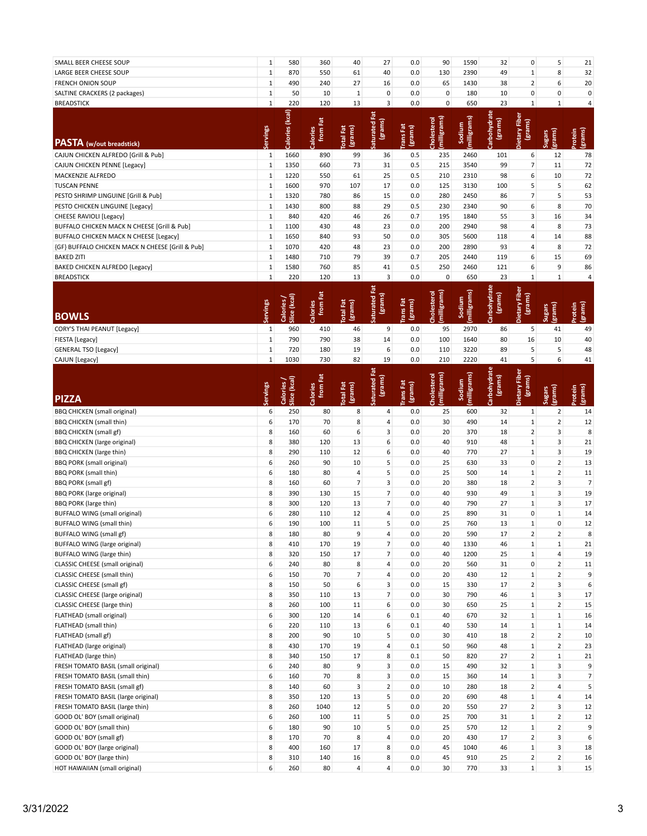| SMALL BEER CHEESE SOUP                           | $\mathbf 1$  | 580                      | 360                  | 40                          | 27                        | 0.0                         | 90                          | 1590                  | 32                      | $\pmb{0}$                | 5                                         | 21                        |
|--------------------------------------------------|--------------|--------------------------|----------------------|-----------------------------|---------------------------|-----------------------------|-----------------------------|-----------------------|-------------------------|--------------------------|-------------------------------------------|---------------------------|
| LARGE BEER CHEESE SOUP                           | $\mathbf 1$  | 870                      | 550                  | 61                          | 40                        | 0.0                         | 130                         | 2390                  | 49                      | $\mathbf{1}$             | 8                                         | 32                        |
| <b>FRENCH ONION SOUP</b>                         | $\mathbf 1$  | 490                      | 240                  | 27                          | 16                        | 0.0                         | 65                          | 1430                  | 38                      | $\overline{2}$           | 6                                         | 20                        |
| SALTINE CRACKERS (2 packages)                    | $\mathbf 1$  | 50                       | 10                   | $\mathbf 1$                 | $\pmb{0}$                 | 0.0                         | $\mathbf 0$                 | 180                   | 10                      | $\pmb{0}$                | $\pmb{0}$                                 | $\pmb{0}$                 |
| <b>BREADSTICK</b>                                | $\mathbf 1$  | 220                      | 120                  | 13                          | 3                         | 0.0                         | $\pmb{0}$                   | 650                   | 23                      | $\mathbf 1$              | $1\,$                                     | 4                         |
| <b>PASTA</b> (w/out breadstick)                  | Servings     | Calories (kcal)          | from Fat<br>Calories | <b>Total Fat</b><br>(grams) | ā<br>(grams)<br>iaturated | rans Fat<br>(grams)         | (milligrams)<br>Cholesterol | milligrams)<br>Sodium | Carbohydrate<br>(grams) | Dietary Fiber<br>(grams) | (grams)<br><b>Sugars</b>                  | (grams)<br>hotein         |
|                                                  |              |                          |                      |                             |                           |                             |                             |                       |                         |                          |                                           |                           |
| CAJUN CHICKEN ALFREDO [Grill & Pub]              | $\mathbf 1$  | 1660                     | 890                  | 99                          | 36                        | 0.5                         | 235                         | 2460                  | 101                     | 6                        | 12                                        | 78                        |
| CAJUN CHICKEN PENNE [Legacy]                     | $\mathbf 1$  | 1350                     | 660                  | 73                          | 31                        | 0.5                         | 215                         | 3540                  | 99                      | $\overline{7}$           | 11                                        | 72                        |
| MACKENZIE ALFREDO                                | $\mathbf 1$  | 1220                     | 550                  | 61                          | 25                        | 0.5                         | 210                         | 2310                  | 98                      | 6                        | 10                                        | 72                        |
| <b>TUSCAN PENNE</b>                              | $\mathbf 1$  | 1600                     | 970                  | 107                         | 17                        | 0.0                         | 125                         | 3130                  | 100                     | 5                        | 5                                         | 62                        |
| PESTO SHRIMP LINGUINE [Grill & Pub]              | $\mathbf 1$  | 1320                     | 780                  | 86                          | 15                        | 0.0                         | 280                         | 2450                  | 86                      | $\overline{7}$           | 5                                         | 53                        |
| PESTO CHICKEN LINGUINE [Legacy]                  | $\mathbf 1$  | 1430                     | 800                  | 88                          | 29                        | 0.5                         | 230                         | 2340                  | 90                      | 6                        | 8                                         | 70                        |
|                                                  | $\mathbf 1$  | 840                      | 420                  | 46                          | 26                        | 0.7                         | 195                         | 1840                  | 55                      | 3                        | 16                                        | 34                        |
| CHEESE RAVIOLI [Legacy]                          |              |                          |                      |                             |                           |                             |                             |                       |                         |                          |                                           |                           |
| BUFFALO CHICKEN MACK N CHEESE [Grill & Pub]      | $\mathbf 1$  | 1100                     | 430                  | 48                          | 23                        | 0.0                         | 200                         | 2940                  | 98                      | 4                        | 8                                         | 73                        |
| BUFFALO CHICKEN MACK N CHEESE [Legacy]           | $\mathbf 1$  | 1650                     | 840                  | 93                          | 50                        | 0.0                         | 305                         | 5600                  | 118                     | 4                        | 14                                        | 88                        |
| (GF) BUFFALO CHICKEN MACK N CHEESE [Grill & Pub] | $\mathbf 1$  | 1070                     | 420                  | 48                          | 23                        | 0.0                         | 200                         | 2890                  | 93                      | 4                        | 8                                         | 72                        |
| <b>BAKED ZITI</b>                                | $\mathbf 1$  | 1480                     | 710                  | 79                          | 39                        | 0.7                         | 205                         | 2440                  | 119                     | 6                        | 15                                        | 69                        |
| BAKED CHICKEN ALFREDO [Legacy]                   | $\mathbf 1$  | 1580                     | 760                  | 85                          | 41                        | 0.5                         | 250                         | 2460                  | 121                     | 6                        | 9                                         | 86                        |
| <b>BREADSTICK</b>                                | $\mathbf{1}$ | 220                      | 120                  | 13                          | 3                         | 0.0                         | $\pmb{0}$                   | 650                   | 23                      | $\mathbf{1}$             | $1\,$                                     | 4                         |
|                                                  |              |                          |                      |                             | ē                         |                             |                             |                       |                         |                          |                                           |                           |
| <b>BOWLS</b>                                     | ervings      | Slice (kcal)<br>Calories | from Fat<br>Calories | <b>Total Fat</b><br>(grams) | (grams)<br>aturated       | rans Fat<br>(grams)         | milligrams)<br>Cholesterol  | milligrams)<br>Sodium | Carbohydrate<br>(grams) | Dietary Fiber<br>(grams) | (grams)<br><b>Sugars</b>                  | (grams)<br><b>Inotein</b> |
| CORY'S THAI PEANUT [Legacy]                      | $\mathbf{1}$ | 960                      | 410                  | 46                          | 9                         | 0.0                         | 95                          | 2970                  | 86                      | 5                        | 41                                        | 49                        |
| FIESTA [Legacy]                                  | $\mathbf 1$  | 790                      | 790                  | 38                          | 14                        | 0.0                         | 100                         | 1640                  | 80                      | 16                       | 10                                        | 40                        |
| <b>GENERAL TSO [Legacy]</b>                      | $\mathbf 1$  | 720                      | 180                  | 19                          | 6                         | 0.0                         | 110                         | 3220                  | 89                      | 5                        | 5                                         | 48                        |
| CAJUN [Legacy]                                   | $\mathbf 1$  | 1030                     | 730                  | 82                          | 19                        | 0.0                         | 210                         | 2220                  | 41                      | 5                        | 6                                         | 41                        |
| <b>PIZZA</b>                                     | ervings      | Slice (kcal)<br>Calories | from Fat<br>Calories | <b>Total Fat</b><br>(grams) | ā<br>(grams)<br>iaturated | <b>Trans</b> Fat<br>(grams) | (milligrams)<br>Cholesterol | milligrams)<br>Sodium | Carbohydrate<br>(grams) | Dietary Fiber<br>(grams) | grams)<br><b>Sugars</b>                   | (grams)<br>Protein        |
|                                                  |              |                          |                      |                             |                           |                             |                             |                       |                         |                          |                                           |                           |
| <b>BBQ CHICKEN</b> (small original)              | 6            | 250                      | 80                   | 8                           | 4                         | 0.0                         | 25                          | 600                   | 32                      | $\mathbf{1}$             | $\overline{2}$                            | 14                        |
| <b>BBQ CHICKEN (small thin)</b>                  | 6            | 170                      | 70                   | 8                           | 4                         | 0.0                         | 30                          | 490                   | 14                      | $\mathbf{1}$             | $\overline{2}$                            | 12                        |
|                                                  |              |                          |                      |                             |                           |                             |                             |                       |                         |                          |                                           |                           |
| <b>BBQ CHICKEN (small gf)</b>                    | 8            | 160                      | 60                   | 6                           | 3                         | 0.0                         | 20                          | 370                   | 18                      | $\overline{2}$           | 3                                         | 8                         |
| BBQ CHICKEN (large original)                     | 8            | 380                      | 120                  | 13                          | 6                         | 0.0                         | 40                          | 910                   | 48                      | $\mathbf 1$              | 3                                         | 21                        |
| <b>BBQ CHICKEN (large thin)</b>                  | 8            | 290                      | 110                  | 12                          | 6                         | 0.0                         | 40                          | 770                   | 27                      | $\mathbf 1$              | 3                                         | 19                        |
| <b>BBQ PORK (small original)</b>                 | 6            | 260                      | 90                   | 10                          | 5                         | 0.0                         | 25                          | 630                   | 33                      | $\pmb{0}$                | 2                                         | 13                        |
|                                                  | 6            | 180                      | 80                   | $\overline{4}$              | 5                         | 0.0                         | 25                          | 500                   | 14                      | $\mathbf{1}$             | $\overline{2}$                            | 11                        |
| <b>BBQ PORK (small thin)</b>                     |              |                          |                      |                             |                           |                             |                             |                       |                         |                          |                                           |                           |
| BBQ PORK (small gf)                              | 8            | 160                      | 60                   | $\overline{7}$              | 3                         | 0.0                         | 20                          | 380                   | 18                      | $\overline{2}$           | 3                                         | $\overline{7}$            |
| <b>BBQ PORK (large original)</b>                 | 8            | 390                      | 130                  | 15                          | $\overline{7}$            | 0.0                         | 40                          | 930                   | 49                      | $\mathbf 1$              | 3                                         | 19                        |
| BBQ PORK (large thin)                            | 8            | 300                      | 120                  | 13                          | $\overline{7}$            | 0.0                         | 40                          | 790                   | 27                      | $\mathbf{1}$             | 3                                         | 17                        |
| <b>BUFFALO WING (small original)</b>             | 6            | 280                      | 110                  | 12                          | $\overline{4}$            | 0.0                         | 25                          | 890                   | 31                      | $\pmb{0}$                | $\mathbf{1}$                              | 14                        |
| <b>BUFFALO WING (small thin)</b>                 | 6            | 190                      | 100                  | 11                          | 5                         | 0.0                         | 25                          | 760                   | 13                      | $\mathbf{1}$             | $\mathbf 0$                               | 12                        |
| BUFFALO WING (small gf)                          | 8            | 180                      | 80                   | 9                           | 4                         | 0.0                         | 20                          | 590                   | 17                      | $\overline{2}$           | $\overline{2}$                            | 8                         |
| BUFFALO WING (large original)                    | 8            | 410                      | 170                  | 19                          | $\overline{7}$            | 0.0                         | 40                          | 1330                  | 46                      | $\mathbf{1}$             | $\mathbf{1}$                              | 21                        |
| BUFFALO WING (large thin)                        | 8            | 320                      | 150                  | 17                          | $\overline{7}$            | 0.0                         | 40                          | 1200                  | 25                      | $\mathbf{1}$             | 4                                         | 19                        |
| <b>CLASSIC CHEESE</b> (small original)           | 6            | 240                      | 80                   | 8                           | 4                         | 0.0                         | 20                          | 560                   | 31                      | 0                        | $\overline{2}$                            | 11                        |
| CLASSIC CHEESE (small thin)                      | 6            | 150                      | 70                   | $\overline{7}$              | 4                         | 0.0                         | 20                          | 430                   | 12                      | $\mathbf{1}$             | $\overline{2}$                            | 9                         |
| CLASSIC CHEESE (small gf)                        | 8            | 150                      | 50                   | 6                           | 3                         | 0.0                         | 15                          | 330                   | 17                      | $\overline{2}$           | 3                                         | 6                         |
| CLASSIC CHEESE (large original)                  | 8            | 350                      | 110                  | 13                          | $\overline{7}$            | 0.0                         | 30                          | 790                   | 46                      | $\mathbf{1}$             | 3                                         | 17                        |
| CLASSIC CHEESE (large thin)                      | 8            | 260                      | 100                  | 11                          | 6                         | 0.0                         | 30                          | 650                   | 25                      | $\mathbf{1}$             | $\overline{2}$                            | 15                        |
| FLATHEAD (small original)                        | 6            | 300                      | 120                  | 14                          | 6                         | 0.1                         | 40                          | 670                   | 32                      | $\mathbf 1$              | $\mathbf{1}$                              | 16                        |
| FLATHEAD (small thin)                            | 6            | 220                      | 110                  | 13                          | 6                         | 0.1                         | 40                          | 530                   | 14                      | $\mathbf 1$              | $\mathbf 1$                               | 14                        |
|                                                  |              |                          |                      |                             |                           |                             |                             |                       |                         |                          |                                           |                           |
| FLATHEAD (small gf)                              | 8            | 200                      | 90                   | 10                          | 5                         | 0.0                         | 30                          | 410                   | 18                      | $\overline{2}$           | $\overline{2}$                            | 10                        |
| FLATHEAD (large original)                        | 8            | 430                      | 170                  | 19                          | 4                         | 0.1                         | 50                          | 960                   | 48                      | $\mathbf{1}$             | 2                                         | 23                        |
| FLATHEAD (large thin)                            | 8            | 340                      | 150                  | 17                          | 8                         | 0.1                         | 50                          | 820                   | 27                      | $\overline{2}$           | $\mathbf 1$                               | 21                        |
| FRESH TOMATO BASIL (small original)              | 6            | 240                      | 80                   | 9                           | 3                         | 0.0                         | 15                          | 490                   | 32                      | $\mathbf{1}$             | 3                                         | 9                         |
| FRESH TOMATO BASIL (small thin)                  | 6            | 160                      | 70                   | 8                           | 3                         | 0.0                         | 15                          | 360                   | 14                      | $\mathbf 1$              | 3                                         | 7                         |
| FRESH TOMATO BASIL (small gf)                    | 8            | 140                      | 60                   | 3                           | $\overline{2}$            | 0.0                         | 10                          | 280                   | 18                      | $\overline{2}$           | $\overline{4}$                            | 5                         |
| FRESH TOMATO BASIL (large original)              | 8            | 350                      | 120                  | 13                          | 5                         | 0.0                         | 20                          | 690                   | 48                      | $\mathbf{1}$             | 4                                         | 14                        |
| FRESH TOMATO BASIL (large thin)                  | 8            | 260                      | 1040                 | 12                          | 5                         | 0.0                         | 20                          | 550                   | 27                      | $\overline{2}$           | 3                                         | 12                        |
| GOOD OL' BOY (small original)                    | 6            | 260                      | 100                  | 11                          | 5                         | 0.0                         | 25                          | 700                   | 31                      | $\mathbf 1$              | $\overline{2}$                            | 12                        |
| GOOD OL' BOY (small thin)                        | 6            | 180                      | 90                   | 10                          | 5                         | 0.0                         | 25                          | 570                   | 12                      | $\mathbf{1}$             | $\overline{2}$                            | 9                         |
| GOOD OL' BOY (small gf)                          | 8            | 170                      | 70                   | 8                           | 4                         | 0.0                         | 20                          | 430                   | 17                      | $\overline{2}$           | 3                                         | 6                         |
| GOOD OL' BOY (large original)                    | 8            | 400                      | 160                  | 17                          | 8                         | 0.0                         | 45                          | 1040                  | 46                      | $\mathbf{1}$             | 3                                         | 18                        |
| GOOD OL' BOY (large thin)                        | 8<br>6       | 310                      | 140                  | 16                          | 8                         | 0.0                         | 45                          | 910                   | 25                      | 2<br>$\mathbf 1$         | $\overline{2}$<br>$\overline{\mathbf{3}}$ | 16                        |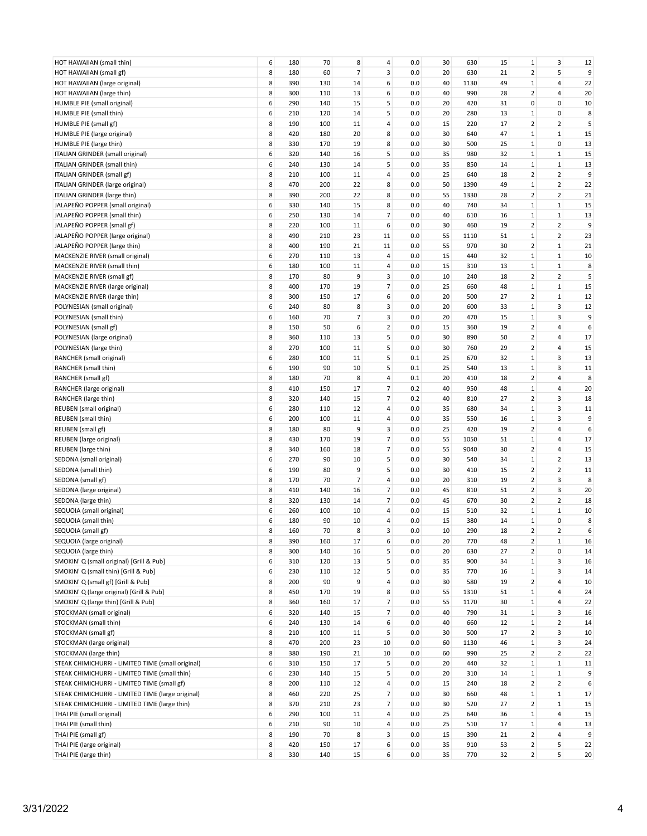| HOT HAWAIIAN (small thin)                         | 6 | 180 | 70  | 8              | 4              | 0.0     | 30 | 630  | 15 | 1                       | 3              | 12 |
|---------------------------------------------------|---|-----|-----|----------------|----------------|---------|----|------|----|-------------------------|----------------|----|
| HOT HAWAIIAN (small gf)                           | 8 | 180 | 60  | $\overline{7}$ | 3              | 0.0     | 20 | 630  | 21 | $\overline{2}$          | 5              | 9  |
| HOT HAWAIIAN (large original)                     | 8 | 390 | 130 | 14             | 6              | 0.0     | 40 | 1130 | 49 | $\mathbf{1}$            | 4              | 22 |
| HOT HAWAIIAN (large thin)                         | 8 | 300 | 110 | 13             | 6              | 0.0     | 40 | 990  | 28 | $\overline{2}$          | 4              | 20 |
| HUMBLE PIE (small original)                       | 6 | 290 | 140 | 15             | 5              | 0.0     | 20 | 420  | 31 | 0                       | 0              | 10 |
|                                                   |   |     |     |                |                |         |    |      |    |                         |                |    |
| HUMBLE PIE (small thin)                           | 6 | 210 | 120 | 14             | 5              | 0.0     | 20 | 280  | 13 | 1                       | 0              | 8  |
| HUMBLE PIE (small gf)                             | 8 | 190 | 100 | 11             | 4              | 0.0     | 15 | 220  | 17 | $\overline{2}$          | $\overline{2}$ | 5  |
| HUMBLE PIE (large original)                       | 8 | 420 | 180 | 20             | 8              | $0.0\,$ | 30 | 640  | 47 | $\mathbf 1$             | $\mathbf{1}$   | 15 |
| HUMBLE PIE (large thin)                           | 8 | 330 | 170 | 19             | 8              | 0.0     | 30 | 500  | 25 | $\mathbf 1$             | 0              | 13 |
| ITALIAN GRINDER (small original)                  | 6 | 320 | 140 | 16             | 5              | 0.0     | 35 | 980  | 32 | $\mathbf{1}$            | $1\,$          | 15 |
| ITALIAN GRINDER (small thin)                      | 6 | 240 | 130 | 14             | 5              | 0.0     | 35 | 850  | 14 | $\mathbf{1}$            | $\mathbf{1}$   | 13 |
| ITALIAN GRINDER (small gf)                        | 8 | 210 | 100 | 11             | 4              | 0.0     | 25 | 640  | 18 | $\overline{2}$          | $\overline{2}$ | 9  |
| ITALIAN GRINDER (large original)                  | 8 | 470 | 200 | 22             | 8              | 0.0     | 50 | 1390 | 49 | $\mathbf 1$             | $\overline{2}$ | 22 |
|                                                   |   |     |     |                |                |         |    |      |    |                         |                |    |
| ITALIAN GRINDER (large thin)                      | 8 | 390 | 200 | 22             | 8              | 0.0     | 55 | 1330 | 28 | $\overline{\mathbf{c}}$ | $\overline{2}$ | 21 |
| JALAPEÑO POPPER (small original)                  | 6 | 330 | 140 | 15             | 8              | 0.0     | 40 | 740  | 34 | $\mathbf{1}$            | $\mathbf{1}$   | 15 |
| JALAPEÑO POPPER (small thin)                      | 6 | 250 | 130 | 14             | $\overline{7}$ | 0.0     | 40 | 610  | 16 | $\mathbf 1$             | $\mathbf{1}$   | 13 |
| JALAPEÑO POPPER (small gf)                        | 8 | 220 | 100 | 11             | 6              | 0.0     | 30 | 460  | 19 | $\overline{2}$          | $\overline{2}$ | 9  |
| JALAPEÑO POPPER (large original)                  | 8 | 490 | 210 | 23             | 11             | 0.0     | 55 | 1110 | 51 | $\mathbf 1$             | $\overline{2}$ | 23 |
| JALAPEÑO POPPER (large thin)                      | 8 | 400 | 190 | 21             | 11             | 0.0     | 55 | 970  | 30 | $\overline{2}$          | $\mathbf{1}$   | 21 |
| MACKENZIE RIVER (small original)                  | 6 | 270 | 110 | 13             | 4              | 0.0     | 15 | 440  | 32 | $\mathbf{1}$            | $1\,$          | 10 |
|                                                   |   |     |     |                |                |         |    |      |    |                         |                |    |
| MACKENZIE RIVER (small thin)                      | 6 | 180 | 100 | 11             | 4              | 0.0     | 15 | 310  | 13 | $\mathbf 1$             | $\mathbf{1}$   | 8  |
| MACKENZIE RIVER (small gf)                        | 8 | 170 | 80  | 9              | 3              | 0.0     | 10 | 240  | 18 | $\overline{2}$          | $\overline{2}$ | 5  |
| MACKENZIE RIVER (large original)                  | 8 | 400 | 170 | 19             | $\overline{7}$ | 0.0     | 25 | 660  | 48 | $\mathbf 1$             | $1\,$          | 15 |
| MACKENZIE RIVER (large thin)                      | 8 | 300 | 150 | 17             | 6              | 0.0     | 20 | 500  | 27 | $\overline{2}$          | $\mathbf{1}$   | 12 |
| POLYNESIAN (small original)                       | 6 | 240 | 80  | 8              | 3              | 0.0     | 20 | 600  | 33 | $\mathbf 1$             | 3              | 12 |
| POLYNESIAN (small thin)                           | 6 | 160 | 70  | 7              | 3              | 0.0     | 20 | 470  | 15 | $\mathbf 1$             | 3              | 9  |
| POLYNESIAN (small gf)                             | 8 | 150 | 50  | 6              | $\overline{2}$ | 0.0     | 15 | 360  | 19 | $\overline{2}$          | 4              | 6  |
|                                                   |   |     |     |                |                |         |    |      |    | $\overline{2}$          |                |    |
| POLYNESIAN (large original)                       | 8 | 360 | 110 | 13             | 5              | 0.0     | 30 | 890  | 50 |                         | 4              | 17 |
| POLYNESIAN (large thin)                           | 8 | 270 | 100 | 11             | 5              | 0.0     | 30 | 760  | 29 | $\overline{\mathbf{2}}$ | 4              | 15 |
| RANCHER (small original)                          | 6 | 280 | 100 | 11             | 5              | 0.1     | 25 | 670  | 32 | $\mathbf 1$             | 3              | 13 |
| RANCHER (small thin)                              | 6 | 190 | 90  | 10             | 5              | 0.1     | 25 | 540  | 13 | $\mathbf{1}$            | 3              | 11 |
| RANCHER (small gf)                                | 8 | 180 | 70  | 8              | 4              | 0.1     | 20 | 410  | 18 | $\overline{2}$          | 4              | 8  |
| RANCHER (large original)                          | 8 | 410 | 150 | 17             | $\overline{7}$ | 0.2     | 40 | 950  | 48 | $\mathbf 1$             | 4              | 20 |
| RANCHER (large thin)                              | 8 | 320 | 140 | 15             | $\overline{7}$ | 0.2     | 40 | 810  | 27 | $\overline{\mathbf{2}}$ | 3              | 18 |
|                                                   | 6 | 280 | 110 | 12             | 4              | 0.0     | 35 | 680  | 34 | $\mathbf{1}$            | 3              | 11 |
| REUBEN (small original)                           |   |     |     |                |                |         |    |      |    |                         |                |    |
| REUBEN (small thin)                               | 6 | 200 | 100 | 11             | 4              | 0.0     | 35 | 550  | 16 | $\mathbf 1$             | 3              | 9  |
| REUBEN (small gf)                                 | 8 | 180 | 80  | 9              | 3              | 0.0     | 25 | 420  | 19 | $\overline{2}$          | 4              | 6  |
| REUBEN (large original)                           | 8 | 430 | 170 | 19             | $\overline{7}$ | 0.0     | 55 | 1050 | 51 | $\mathbf{1}$            | 4              | 17 |
| REUBEN (large thin)                               | 8 | 340 | 160 | 18             | $\overline{7}$ | 0.0     | 55 | 9040 | 30 | $\overline{\mathbf{c}}$ | 4              | 15 |
| SEDONA (small original)                           | 6 | 270 | 90  | 10             | 5              | 0.0     | 30 | 540  | 34 | $\mathbf{1}$            | $\overline{2}$ | 13 |
| SEDONA (small thin)                               | 6 | 190 | 80  | 9              | 5              | 0.0     | 30 | 410  | 15 | $\overline{2}$          | $\overline{2}$ | 11 |
| SEDONA (small gf)                                 | 8 | 170 | 70  | 7              | 4              | 0.0     | 20 | 310  | 19 | $\overline{2}$          | 3              | 8  |
|                                                   |   |     |     |                |                |         |    |      |    |                         |                |    |
| SEDONA (large original)                           | 8 | 410 | 140 | 16             | $\overline{7}$ | 0.0     | 45 | 810  | 51 | $\overline{2}$          | 3              | 20 |
| SEDONA (large thin)                               | 8 | 320 | 130 | 14             | $\overline{7}$ | 0.0     | 45 | 670  | 30 | $\overline{2}$          | 2              | 18 |
| SEQUOIA (small original)                          | 6 | 260 | 100 | 10             | 4              | 0.0     | 15 | 510  | 32 | $\mathbf{1}$            | $\mathbf{1}$   | 10 |
| SEQUOIA (small thin)                              | 6 | 180 | 90  | 10             | 4              | 0.0     | 15 | 380  | 14 | $\mathbf 1$             | 0              | 8  |
| SEQUOIA (small gf)                                | 8 | 160 | 70  | 8              | 3              | 0.0     | 10 | 290  | 18 | $\overline{2}$          | $\overline{2}$ | 6  |
| SEQUOIA (large original)                          | 8 | 390 | 160 | 17             | 6              | 0.0     | 20 | 770  | 48 | $\overline{2}$          | $\mathbf 1$    | 16 |
| SEQUOIA (large thin)                              | 8 | 300 | 140 | 16             | 5              | 0.0     | 20 | 630  | 27 | $\overline{2}$          | 0              | 14 |
|                                                   |   |     |     |                | 5              |         |    |      |    |                         |                |    |
| SMOKIN' Q (small original) [Grill & Pub]          | 6 | 310 | 120 | 13             |                | 0.0     | 35 | 900  | 34 | $\mathbf 1$             | 3              | 16 |
| SMOKIN' Q (small thin) [Grill & Pub]              | 6 | 230 | 110 | 12             | 5              | 0.0     | 35 | 770  | 16 | $\mathbf 1$             | 3              | 14 |
| SMOKIN' Q (small gf) [Grill & Pub]                | 8 | 200 | 90  | 9              | 4              | 0.0     | 30 | 580  | 19 | $\overline{\mathbf{c}}$ | 4              | 10 |
| SMOKIN' Q (large original) [Grill & Pub]          | 8 | 450 | 170 | 19             | 8              | 0.0     | 55 | 1310 | 51 | $\mathbf{1}$            | 4              | 24 |
| SMOKIN' Q (large thin) [Grill & Pub]              | 8 | 360 | 160 | 17             | $\overline{7}$ | 0.0     | 55 | 1170 | 30 | $\mathbf 1$             | 4              | 22 |
| STOCKMAN (small original)                         | 6 | 320 | 140 | 15             | $\overline{7}$ | 0.0     | 40 | 790  | 31 | $\mathbf 1$             | 3              | 16 |
| STOCKMAN (small thin)                             | 6 | 240 | 130 | 14             | 6              | 0.0     | 40 | 660  | 12 | $\mathbf 1$             | $\overline{2}$ | 14 |
| STOCKMAN (small gf)                               | 8 | 210 | 100 | 11             | 5              | 0.0     | 30 | 500  | 17 | $\overline{2}$          | 3              | 10 |
|                                                   |   |     |     |                |                |         |    |      |    |                         |                |    |
| STOCKMAN (large original)                         | 8 | 470 | 200 | 23             | 10             | 0.0     | 60 | 1130 | 46 | $\mathbf{1}$            | 3              | 24 |
| STOCKMAN (large thin)                             | 8 | 380 | 190 | 21             | 10             | 0.0     | 60 | 990  | 25 | $\overline{2}$          | $\overline{2}$ | 22 |
| STEAK CHIMICHURRI - LIMITED TIME (small original) | 6 | 310 | 150 | 17             | 5              | 0.0     | 20 | 440  | 32 | $\mathbf 1$             | $\mathbf 1$    | 11 |
| STEAK CHIMICHURRI - LIMITED TIME (small thin)     | 6 | 230 | 140 | 15             | 5              | 0.0     | 20 | 310  | 14 | $1\,$                   | $\mathbf{1}$   | 9  |
| STEAK CHIMICHURRI - LIMITED TIME (small gf)       | 8 | 200 | 110 | 12             | 4              | 0.0     | 15 | 240  | 18 | $\overline{2}$          | $\overline{2}$ | 6  |
| STEAK CHIMICHURRI - LIMITED TIME (large original) | 8 | 460 | 220 | 25             | $\overline{7}$ | 0.0     | 30 | 660  | 48 | $1\,$                   | $\mathbf{1}$   | 17 |
| STEAK CHIMICHURRI - LIMITED TIME (large thin)     | 8 | 370 | 210 | 23             | $\overline{7}$ | 0.0     | 30 | 520  | 27 | $\overline{2}$          | $\mathbf{1}$   | 15 |
| THAI PIE (small original)                         | 6 | 290 | 100 | 11             | 4              | 0.0     | 25 | 640  | 36 | $\mathbf 1$             | 4              | 15 |
|                                                   |   |     |     |                |                |         |    |      |    |                         |                |    |
| THAI PIE (small thin)                             | 6 | 210 | 90  | 10             | 4              | 0.0     | 25 | 510  | 17 | $\mathbf{1}$            | 4              | 13 |
| THAI PIE (small gf)                               | 8 | 190 | 70  | 8              | 3              | 0.0     | 15 | 390  | 21 | $\overline{2}$          | 4              | 9  |
| THAI PIE (large original)                         | 8 | 420 | 150 | 17             | 6              | 0.0     | 35 | 910  | 53 | $\overline{2}$          | 5              | 22 |
| THAI PIE (large thin)                             | 8 | 330 | 140 | 15             | 6              | 0.0     | 35 | 770  | 32 | 2 <sup>1</sup>          | 5              | 20 |
|                                                   |   |     |     |                |                |         |    |      |    |                         |                |    |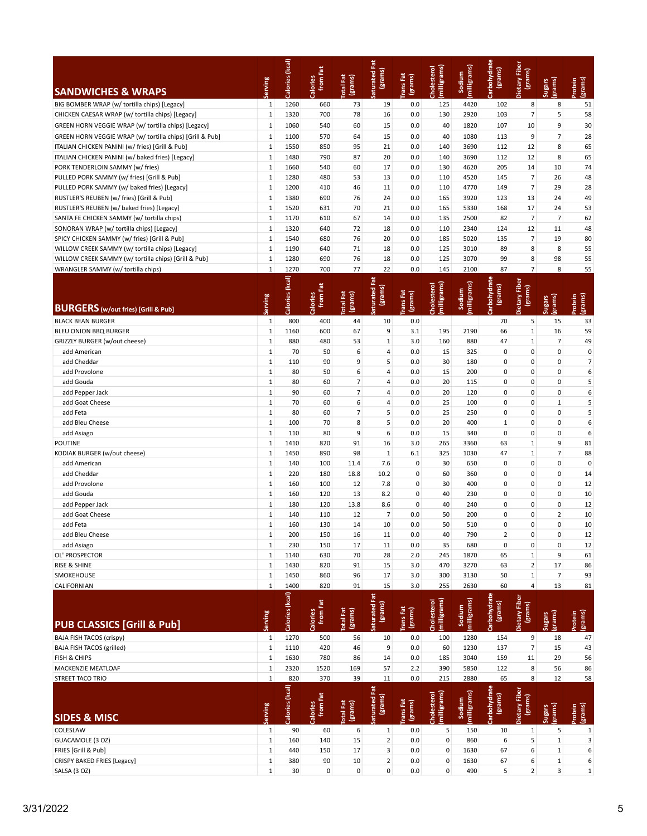| <b>SANDWICHES &amp; WRAPS</b>                                                           | Serving                      | Calories (kcal) | from Fat<br>Calories | <b>Total Fat</b><br>(grams) | Fat<br>(grams)<br>aturated | <b>TransFat</b><br>(grams) | (milligrams)<br>Cholesterol | (milligrams)<br>Sodium | Carbohydrat<br>(grams)            | Dietary Fibe<br>(grams)  | (grams)<br><b>Sugars</b> | (grams)<br>Protein |
|-----------------------------------------------------------------------------------------|------------------------------|-----------------|----------------------|-----------------------------|----------------------------|----------------------------|-----------------------------|------------------------|-----------------------------------|--------------------------|--------------------------|--------------------|
| BIG BOMBER WRAP (w/ tortilla chips) [Legacy]                                            | $\mathbf{1}$                 | 1260            | 660                  | 73                          | 19                         | 0.0                        | 125                         | 4420                   | 102                               | 8                        | 8                        | 51                 |
| CHICKEN CAESAR WRAP (w/ tortilla chips) [Legacy]                                        | $\mathbf 1$                  | 1320            | 700                  | 78                          | 16                         | 0.0                        | 130                         | 2920                   | 103                               | $\overline{7}$           | 5                        | 58                 |
| GREEN HORN VEGGIE WRAP (w/ tortilla chips) [Legacy]                                     | $\mathbf 1$                  | 1060            | 540                  | 60                          | 15                         | 0.0                        | 40                          | 1820                   | 107                               | 10                       | 9                        | 30                 |
| GREEN HORN VEGGIE WRAP (w/ tortilla chips) [Grill & Pub]                                | $\mathbf{1}$                 | 1100            | 570                  | 64                          | 15                         | 0.0                        | 40                          | 1080                   | 113                               | 9                        | 7                        | 28                 |
| ITALIAN CHICKEN PANINI (w/ fries) [Grill & Pub]                                         | $\mathbf{1}$                 | 1550            | 850                  | 95                          | 21                         | 0.0                        | 140                         | 3690                   | 112                               | 12                       | 8                        | 65                 |
| ITALIAN CHICKEN PANINI (w/ baked fries) [Legacy]                                        | $\mathbf 1$                  | 1480            | 790                  | 87                          | 20                         | 0.0                        | 140                         | 3690                   | 112                               | 12                       | 8                        | 65                 |
| PORK TENDERLOIN SAMMY (w/ fries)                                                        | $\mathbf{1}$                 | 1660            | 540                  | 60                          | 17                         | 0.0                        | 130                         | 4620                   | 205                               | 14                       | 10                       | 74                 |
| PULLED PORK SAMMY (w/ fries) [Grill & Pub]                                              | $\mathbf{1}$                 | 1280            | 480                  | 53                          | 13                         | 0.0                        | 110                         | 4520                   | 145                               | $\overline{7}$           | 26                       | 48                 |
| PULLED PORK SAMMY (w/ baked fries) [Legacy]                                             | $\mathbf{1}$                 | 1200            | 410                  | 46                          | 11                         | 0.0                        | 110                         | 4770                   | 149                               | $\overline{7}$           | 29                       | 28                 |
| RUSTLER'S REUBEN (w/ fries) [Grill & Pub]                                               | $\mathbf{1}$                 | 1380            | 690                  | 76                          | 24                         | 0.0                        | 165                         | 3920                   | 123                               | 13                       | 24                       | 49                 |
| RUSTLER'S REUBEN (w/ baked fries) [Legacy]                                              | $\mathbf 1$<br>$\mathbf{1}$  | 1520<br>1170    | 631<br>610           | 70<br>67                    | 21<br>14                   | 0.0<br>0.0                 | 165<br>135                  | 5330<br>2500           | 168<br>82                         | 17<br>$\overline{7}$     | 24<br>$\overline{7}$     | 53                 |
| SANTA FE CHICKEN SAMMY (w/ tortilla chips)<br>SONORAN WRAP (w/ tortilla chips) [Legacy] | $\mathbf{1}$                 | 1320            | 640                  | 72                          | 18                         | 0.0                        | 110                         | 2340                   | 124                               | 12                       | 11                       | 62<br>48           |
| SPICY CHICKEN SAMMY (w/ fries) [Grill & Pub]                                            | $\mathbf 1$                  | 1540            | 680                  | 76                          | 20                         | 0.0                        | 185                         | 5020                   | 135                               | $\overline{7}$           | 19                       | 80                 |
| WILLOW CREEK SAMMY (w/ tortilla chips) [Legacy]                                         | $\mathbf{1}$                 | 1190            | 640                  | 71                          | 18                         | 0.0                        | 125                         | 3010                   | 89                                | 8                        | 8                        | 55                 |
| WILLOW CREEK SAMMY (w/ tortilla chips) [Grill & Pub]                                    | $\mathbf 1$                  | 1280            | 690                  | 76                          | 18                         | 0.0                        | 125                         | 3070                   | 99                                | 8                        | 98                       | 55                 |
| WRANGLER SAMMY (w/ tortilla chips)                                                      | $\mathbf{1}$                 | 1270            | 700                  | 77                          | 22                         | 0.0                        | 145                         | 2100                   | 87                                | $\overline{7}$           | 8                        | 55                 |
|                                                                                         | serving                      | Calories (kcal) | from Fat<br>lories   | Total Fat<br>(grams)        | ã<br>(grams)<br>aturated   | rans Fat<br>(grams)        | milligrams)<br>Cholestero   | milligrams)<br>Sodium  | Carbohydrate<br>(grams)           | etary Fiber<br>(grams)   | grams)<br><b>Sugars</b>  | (grams)<br>rotein  |
| <b>BURGERS</b> (w/out fries) [Grill & Pub]                                              |                              |                 | గ్                   |                             |                            |                            |                             |                        |                                   |                          |                          |                    |
| <b>BLACK BEAN BURGER</b>                                                                | $\mathbf{1}$                 | 800             | 400                  | 44                          | 10                         | 0.0                        |                             |                        | 70                                | 5                        | 15                       | 33                 |
| BLEU ONION BBQ BURGER                                                                   | $\mathbf 1$                  | 1160            | 600                  | 67                          | 9                          | 3.1                        | 195                         | 2190                   | 66                                | $\mathbf 1$              | 16                       | 59                 |
| GRIZZLY BURGER (w/out cheese)                                                           | $\mathbf 1$                  | 880             | 480                  | 53                          | $\mathbf{1}$               | 3.0                        | 160                         | 880                    | 47                                | $\mathbf{1}$             | $\overline{7}$           | 49                 |
| add American                                                                            | $\mathbf{1}$                 | 70              | 50                   | 6                           | 4                          | 0.0                        | 15                          | 325                    | $\mathbf 0$                       | $\mathbf 0$              | $\mathbf 0$              | 0                  |
| add Cheddar                                                                             | $\mathbf{1}$                 | 110             | 90                   | 9                           | 5                          | 0.0                        | 30                          | 180                    | 0                                 | $\pmb{0}$                | 0                        | $\overline{7}$     |
| add Provolone                                                                           | $\mathbf{1}$                 | 80              | 50                   | 6                           | 4                          | 0.0                        | 15                          | 200                    | $\mathbf 0$                       | $\mathbf 0$              | 0                        | 6                  |
| add Gouda                                                                               | $\mathbf 1$                  | 80              | 60                   | $\overline{7}$              | 4                          | 0.0                        | 20                          | 115                    | $\mathbf 0$                       | $\mathbf 0$              | 0                        | 5                  |
| add Pepper Jack                                                                         | $\mathbf{1}$                 | 90              | 60                   | $\overline{7}$              | 4                          | 0.0                        | 20                          | 120                    | $\mathbf{0}$                      | $\mathbf 0$              | $\mathbf 0$              | 6                  |
| add Goat Cheese                                                                         | $\mathbf{1}$<br>$\mathbf{1}$ | 70<br>80        | 60<br>60             | 6<br>$\overline{7}$         | 4<br>5                     | 0.0<br>0.0                 | 25<br>25                    | 100<br>250             | $\mathbf 0$<br>0                  | $\mathbf 0$<br>$\pmb{0}$ | 1<br>0                   | 5<br>5             |
| add Feta<br>add Bleu Cheese                                                             | $\mathbf{1}$                 | 100             | 70                   | 8                           | 5                          | 0.0                        | 20                          | 400                    | $\mathbf{1}$                      | $\mathbf 0$              | 0                        | 6                  |
| add Asiago                                                                              | $\mathbf{1}$                 | 110             | 80                   | 9                           | 6                          | 0.0                        | 15                          | 340                    | 0                                 | $\pmb{0}$                | 0                        | 6                  |
| POUTINE                                                                                 | $\mathbf{1}$                 | 1410            | 820                  | 91                          | 16                         | 3.0                        | 265                         | 3360                   | 63                                | $\mathbf 1$              | 9                        | 81                 |
| KODIAK BURGER (w/out cheese)                                                            | $\mathbf{1}$                 | 1450            | 890                  | 98                          | $\mathbf{1}$               | 6.1                        | 325                         | 1030                   | 47                                | $\mathbf{1}$             | 7                        | 88                 |
| add American                                                                            | $\mathbf{1}$                 | 140             | 100                  | 11.4                        | 7.6                        | 0                          | 30                          | 650                    | 0                                 | $\pmb{0}$                | 0                        | $\mathbf 0$        |
| add Cheddar                                                                             | $\mathbf 1$                  | 220             | 180                  | 18.8                        | 10.2                       | 0                          | 60                          | 360                    | 0                                 | $\mathbf 0$              | 0                        | 14                 |
| add Provolone                                                                           | $\mathbf{1}$                 | 160             | 100                  | 12                          | 7.8                        | 0                          | 30                          | 400                    | 0                                 | $\pmb{0}$                | 0                        | 12                 |
| add Gouda                                                                               | $\mathbf{1}$                 | 160             | 120                  | 13                          | 8.2                        | 0                          | 40                          | 230                    | 0                                 | $\mathbf 0$              | 0                        | 10                 |
| add Pepper Jack                                                                         | $\mathbf{1}$                 | 180             | 120                  | 13.8                        | 8.6                        | 0                          | 40                          | 240                    | 0                                 | $\mathbf 0$              | 0                        | 12                 |
| add Goat Cheese                                                                         | $\mathbf{1}$                 | 140             | 110                  | 12                          | $\overline{7}$             | 0.0                        | 50                          | 200                    | 0                                 | $\mathbf 0$              | $\overline{2}$           | 10                 |
| add Feta                                                                                | $\mathbf{1}$                 | 160             | 130                  | 14                          | 10                         | 0.0                        | 50                          | 510                    | 0                                 | $\mathbf 0$              | 0                        | 10                 |
| add Bleu Cheese                                                                         | 1                            | 200             | 150                  | $16\,$                      | 11                         | 0.0                        | 40                          | 790                    | $\overline{2}$                    | $\pmb{0}$                | $\pmb{0}$                | 12                 |
| add Asiago                                                                              | $\mathbf 1$                  | 230             | 150                  | 17                          | 11                         | 0.0                        | 35                          | 680                    | 0                                 | $\mathbf 0$              | $\pmb{0}$                | 12                 |
| OL' PROSPECTOR                                                                          | $\mathbf 1$                  | 1140            | 630                  | 70                          | 28                         | 2.0                        | 245                         | 1870                   | 65                                | $\mathbf 1$              | 9                        | 61                 |
| RISE & SHINE                                                                            | $\mathbf 1$                  | 1430            | 820                  | 91                          | 15                         | 3.0                        | 470                         | 3270                   | 63                                | $\mathbf 2$              | 17                       | 86                 |
| SMOKEHOUSE                                                                              | $\mathbf 1$                  | 1450            | 860                  | 96                          | 17                         | 3.0                        | 300                         | 3130                   | 50                                | $\mathbf 1$              | $\overline{7}$           | 93                 |
| CALIFORNIAN                                                                             | $\mathbf{1}$                 | 1400            | 820                  | 91                          | 15                         | 3.0                        | 255                         | 2630                   | 60                                | $\overline{4}$           | 13                       | 81                 |
| <b>PUB CLASSICS [Grill &amp; Pub]</b>                                                   | erving                       | Calories (kcal) | from Fat<br>Calories | Total Fat<br>(grams)        | aturated Fat<br>(grams)    | rans Fat<br>(grams)        | milligrams)<br>holesterol   | milligrams)<br>Sodium  | arbohydrate<br>(grams)            | etary Fiber<br>(grams)   | grams)<br><b>Sugars</b>  | (grams)<br>rotein  |
| <b>BAJA FISH TACOS (crispy)</b>                                                         | $\mathbf 1$                  | 1270            | 500                  | 56                          | 10                         | 0.0                        | 100                         | 1280                   | 154                               | 9                        | 18                       | 47                 |
| BAJA FISH TACOS (grilled)                                                               | $\mathbf 1$                  | 1110            | 420                  | 46                          | $\boldsymbol{9}$           | 0.0                        | 60                          | 1230                   | 137                               | $\overline{7}$           | 15                       | 43                 |
| FISH & CHIPS                                                                            | $\mathbf 1$                  | 1630            | 780                  | 86                          | 14                         | 0.0                        | 185                         | 3040                   | 159                               | 11                       | 29                       | 56                 |
| MACKENZIE MEATLOAF                                                                      | $\mathbf 1$                  | 2320            | 1520                 | 169                         | 57                         | 2.2                        | 390                         | 5850                   | 122                               | 8                        | 56                       | 86                 |
| STREET TACO TRIO                                                                        | $\mathbf 1$                  | 820             | 370                  | 39                          | $11\,$                     | 0.0                        | 215                         | 2880                   | 65                                | 8                        | 12                       | 58                 |
| <b>SIDES &amp; MISC</b>                                                                 | Serving                      | Calories (kcal) | from Fat<br>Calories | Total Fat<br>(grams)        | 츈<br>(grams)<br>aturated   | rans Fat<br>(grams)        | (milligrams)<br>Cholesterol | milligrams)<br>Sodium  | <b>bohydrate</b><br>(grams)<br>దే | Dietary Fibe<br>(grams)  | grams)<br><b>Sugars</b>  | rotein<br>(grams)  |
| COLESLAW                                                                                | $\mathbf{1}$                 | 90              | 60                   | 6                           | $\mathbf{1}$               | 0.0                        | 5                           | 150                    | 10                                | $\mathbf 1$              | 5                        | $\mathbf 1$        |
| GUACAMOLE (3 OZ)                                                                        | $\mathbf 1$                  | 160             | 140                  | 15                          | $\overline{2}$             | 0.0                        | $\mathbf 0$                 | 860                    | 6                                 | 5                        | $1\,$                    | 3                  |
| FRIES [Grill & Pub]                                                                     | $\mathbf 1$                  | 440             | 150                  | 17                          | 3                          | 0.0                        | $\mathbf 0$                 | 1630                   | 67                                | 6                        | $\mathbf{1}$             | 6                  |
| CRISPY BAKED FRIES [Legacy]                                                             | $\mathbf 1$                  | 380             | 90                   | $10\,$                      | $\overline{\mathbf{c}}$    | 0.0                        | $\pmb{0}$                   | 1630                   | 67                                | 6                        | $\mathbf 1$              | 6                  |
| SALSA (3 OZ)                                                                            | $\mathbf 1$                  | 30              | 0                    | 0                           | 0                          | 0.0                        | $\pmb{0}$                   | 490                    | 5                                 | $\overline{2}$           | 3                        | $\mathbf{1}$       |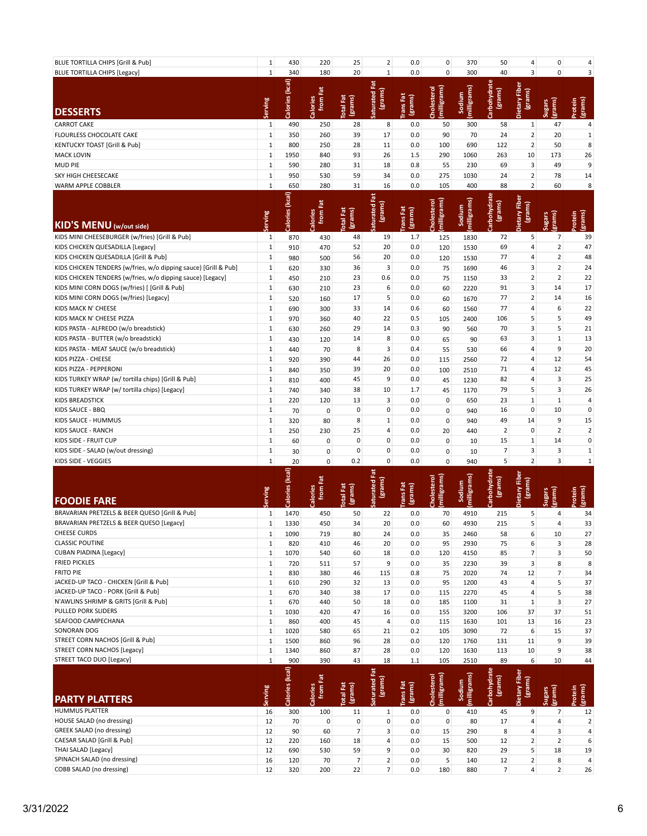| BLUE TORTILLA CHIPS [Grill & Pub]                               | $\mathbf{1}$ | 430             | 220                  | 25                             | $\overline{2}$       | 0.0                 | $\mathsf{O}\xspace$        | 370                    | 50                   | 4                        | 0                        | 4                 |
|-----------------------------------------------------------------|--------------|-----------------|----------------------|--------------------------------|----------------------|---------------------|----------------------------|------------------------|----------------------|--------------------------|--------------------------|-------------------|
| <b>BLUE TORTILLA CHIPS [Legacy]</b>                             | $\mathbf{1}$ | 340             | 180                  | 20                             | $\mathbf{1}$         | 0.0                 | $\pmb{0}$                  | 300                    | 40                   | 3                        | $\mathbf 0$              | 3                 |
|                                                                 |              |                 |                      |                                | Fat                  |                     |                            |                        |                      |                          |                          |                   |
|                                                                 |              | Calories (kcal) |                      |                                |                      |                     |                            | milligrams)            | Carbohydrate         | etary Fiber              |                          |                   |
|                                                                 |              |                 | from Fat             | (grams)<br><b>Total Fat</b>    | (grams)<br>Saturated | rans Fat<br>(grams) | milligrams<br>Cholesterol  | Sodium                 | (grams)              | (grams)                  |                          |                   |
| <b>DESSERTS</b>                                                 | Serving      |                 | Calories             |                                |                      |                     |                            |                        |                      |                          | grams)<br><b>Sugars</b>  | (grams)<br>rotein |
| <b>CARROT CAKE</b>                                              | $\mathbf 1$  | 490             | 250                  | 28                             | 8                    | 0.0                 | 50                         | 300                    | 58                   | $\mathbf{1}$             | 47                       | 4                 |
| FLOURLESS CHOCOLATE CAKE                                        | $\mathbf{1}$ | 350             | 260                  | 39                             | 17                   | 0.0                 | 90                         |                        | 24                   | $\overline{2}$           | 20                       |                   |
|                                                                 | $\mathbf{1}$ | 800             | 250                  | 28                             |                      |                     |                            | 70                     |                      | $\overline{2}$           | 50                       | $\mathbf{1}$<br>8 |
| KENTUCKY TOAST [Grill & Pub]                                    |              |                 |                      |                                | 11                   | 0.0                 | 100                        | 690                    | 122                  |                          |                          |                   |
| <b>MACK LOVIN</b>                                               | $\mathbf{1}$ | 1950            | 840                  | 93                             | 26                   | 1.5                 | 290                        | 1060                   | 263                  | 10                       | 173                      | 26                |
| <b>MUD PIE</b>                                                  | $\mathbf{1}$ | 590             | 280                  | 31                             | 18                   | 0.8                 | 55                         | 230                    | 69                   | 3                        | 49                       | 9                 |
| SKY HIGH CHEESECAKE                                             | $\mathbf{1}$ | 950             | 530                  | 59                             | 34                   | 0.0                 | 275                        | 1030                   | 24                   | $\overline{2}$           | 78                       | 14                |
| WARM APPLE COBBLER                                              | $\mathbf{1}$ | 650             | 280                  | 31                             | 16                   | 0.0                 | 105                        | 400                    | 88                   | $\overline{2}$           | 60                       | 8                 |
|                                                                 |              |                 |                      |                                |                      |                     |                            |                        |                      |                          |                          |                   |
|                                                                 |              |                 |                      |                                | (grams)              |                     |                            |                        | (grams)              |                          |                          |                   |
|                                                                 | erving       | Calories (kcal) | from Fat<br>Calories | <b>Total Fat</b><br>(grams)    | aturated Fat         | rans Fat<br>(grams) | [milligrams]<br>Cholestero | (milligrams)<br>Sodium | rbohydrate           | Dietary Fiber<br>(grams) | (grams)<br><b>Sugars</b> | (grams)<br>rotein |
| KID'S MENU (w/out side)                                         |              |                 |                      |                                |                      |                     |                            |                        |                      |                          |                          |                   |
| KIDS MINI CHEESEBURGER (w/fries) [Grill & Pub]                  | $\mathbf{1}$ | 870             | 430                  | 48                             | 19                   | 1.7                 | 125                        | 1830                   | 72                   | 5                        | $\overline{7}$           | 39                |
| KIDS CHICKEN QUESADILLA [Legacy]                                | $\mathbf{1}$ | 910             | 470                  | 52                             | 20                   | 0.0                 | 120                        | 1530                   | 69                   | 4                        | $\overline{2}$           | 47                |
| KIDS CHICKEN QUESADILLA [Grill & Pub]                           | $\mathbf{1}$ | 980             | 500                  | 56                             | 20                   | 0.0                 | 120                        | 1530                   | 77                   | 4                        | $\mathbf 2$              | 48                |
| KIDS CHICKEN TENDERS (w/fries, w/o dipping sauce) [Grill & Pub] | $\mathbf 1$  | 620             | 330                  | 36                             | 3                    | 0.0                 | 75                         | 1690                   | 46                   | 3                        | $\overline{2}$           | 24                |
| KIDS CHICKEN TENDERS (w/fries, w/o dipping sauce) [Legacy]      | $\mathbf{1}$ | 450             | 210                  | 23                             | 0.6                  | 0.0                 | 75                         | 1150                   | 33                   | $\overline{2}$           | $\overline{2}$           | 22                |
| KIDS MINI CORN DOGS (w/fries) [ [Grill & Pub]                   | $\mathbf{1}$ | 630             | 210                  | 23                             | 6                    | 0.0                 | 60                         | 2220                   | 91                   | 3                        | 14                       | 17                |
| KIDS MINI CORN DOGS (w/fries) [Legacy]                          | $\mathbf{1}$ | 520             | 160                  | 17                             | 5                    | 0.0                 | 60                         | 1670                   | 77                   | $\overline{2}$           | 14                       | 16                |
| KIDS MACK N' CHEESE                                             | $\mathbf{1}$ | 690             | 300                  | 33                             | 14                   | 0.6                 | 60                         | 1560                   | 77                   | $\overline{4}$           | 6                        | 22                |
| KIDS MACK N' CHEESE PIZZA                                       | $\mathbf{1}$ | 970             | 360                  | 40                             | 22                   | 0.5                 | 105                        | 2400                   | 106                  | 5                        | 5                        | 49                |
| KIDS PASTA - ALFREDO (w/o breadstick)                           | $\mathbf{1}$ | 630             | 260                  | 29                             | 14                   | 0.3                 | 90                         | 560                    | 70                   | 3                        | 5                        | 21                |
| KIDS PASTA - BUTTER (w/o breadstick)                            | $\mathbf 1$  | 430             | 120                  | 14                             | 8                    | 0.0                 | 65                         | 90                     | 63                   | 3                        | $\mathbf{1}$             | 13                |
| KIDS PASTA - MEAT SAUCE (w/o breadstick)                        | $\mathbf{1}$ | 440             | 70                   | 8                              | 3                    | 0.4                 | 55                         | 530                    | 66                   | 4                        | 9                        | 20                |
| KIDS PIZZA - CHEESE                                             | $\mathbf{1}$ | 920             | 390                  | 44                             | 26                   | 0.0                 | 115                        | 2560                   | 72                   | 4                        | 12                       | 54                |
| KIDS PIZZA - PEPPERONI                                          | $\mathbf 1$  | 840             | 350                  | 39                             | 20                   | 0.0                 | 100                        | 2510                   | 71                   | 4                        | 12                       | 45                |
| KIDS TURKEY WRAP (w/ tortilla chips) [Grill & Pub]              | $\mathbf{1}$ | 810             | 400                  | 45                             | 9                    | 0.0                 | 45                         | 1230                   | 82                   | 4                        | 3                        | 25                |
| KIDS TURKEY WRAP (w/ tortilla chips) [Legacy]                   | $\mathbf{1}$ | 740             | 340                  | 38                             | 10                   | 1.7                 | 45                         | 1170                   | 79                   | 5                        | 3                        | 26                |
| <b>KIDS BREADSTICK</b>                                          | $\mathbf{1}$ | 220             | 120                  | 13                             | 3                    | 0.0                 | $\mathbf 0$                | 650                    | 23                   | $1\,$                    | $\mathbf{1}$             | 4                 |
| KIDS SAUCE - BBQ                                                | $\mathbf{1}$ | 70              | $\mathbf 0$          | 0                              | $\pmb{0}$            | 0.0                 | $\mathbf 0$                | 940                    | 16                   | 0                        | 10                       | $\pmb{0}$         |
| KIDS SAUCE - HUMMUS                                             | $\mathbf{1}$ | 320             | 80                   | 8                              | $\mathbf{1}$         | 0.0                 | $\mathbf 0$                | 940                    | 49                   | 14                       | 9                        | 15                |
| KIDS SAUCE - RANCH                                              | $\mathbf{1}$ | 250             | 230                  | 25                             | 4                    | 0.0                 | 20                         | 440                    | $\overline{2}$       | 0                        | $\overline{2}$           | $\overline{2}$    |
| KIDS SIDE - FRUIT CUP                                           | $\mathbf{1}$ |                 |                      | 0                              | $\mathbf 0$          | 0.0                 |                            |                        | 15                   | $\mathbf{1}$             | 14                       | 0                 |
| KIDS SIDE - SALAD (w/out dressing)                              | $\mathbf{1}$ | 60<br>30        | 0<br>0               | 0                              | $\mathbf 0$          | 0.0                 | $\mathbf 0$<br>0           | 10                     | $\overline{7}$       | 3                        | 3                        | $\mathbf{1}$      |
| KIDS SIDE - VEGGIES                                             | $\mathbf{1}$ |                 | $\mathbf{0}$         | 0.2                            | $\pmb{0}$            | 0.0                 | $\mathbf 0$                | 10                     | 5                    | $\overline{2}$           | 3                        | $\mathbf 1$       |
|                                                                 |              | 20              |                      |                                |                      |                     |                            | 940                    |                      |                          |                          |                   |
|                                                                 |              |                 |                      |                                |                      |                     |                            |                        |                      |                          |                          |                   |
|                                                                 |              |                 |                      |                                | tã                   |                     |                            |                        |                      |                          |                          |                   |
|                                                                 |              |                 |                      |                                |                      |                     |                            |                        |                      |                          |                          |                   |
|                                                                 |              |                 | from Fat             |                                | (grams)              |                     |                            |                        | tohydrate<br>(grams) | etary Fiber<br>(grams)   |                          |                   |
| <b>FOODIE FARE</b>                                              | <b>Suins</b> | Calories (kcal) | Calories             | (grams)<br><b>Total Fat</b>    | <b>Saturated</b>     | rans Fat<br>(grams) | milligrams<br>Cholestero   | milligrams<br>Sodium   |                      |                          | grams)<br>Sugars         | grams)            |
| BRAVARIAN PRETZELS & BEER QUESO [Grill & Pub]                   | $\mathbf{1}$ | 1470            | 450                  | 50                             | 22                   | 0.0                 | 70                         | 4910                   | 215                  | 5                        | 4                        | 34                |
| BRAVARIAN PRETZELS & BEER QUESO [Legacy]                        | $\mathbf{1}$ | 1330            | 450                  | 34                             | 20                   | 0.0                 | 60                         | 4930                   | 215                  | 5                        | 4                        | 33                |
| <b>CHEESE CURDS</b>                                             | $\mathbf{1}$ | 1090            | 719                  | 80                             | 24                   | 0.0                 | 35                         | 2460                   | 58                   | 6                        | 10                       | 27                |
| <b>CLASSIC POUTINE</b>                                          | $\mathbf{1}$ | 820             | 410                  | 46                             | 20                   | 0.0                 | 95                         | 2930                   | 75                   | 6                        | $\mathsf 3$              | 28                |
| <b>CUBAN PIADINA [Legacy]</b>                                   | $\mathbf{1}$ | 1070            | 540                  | 60                             | 18                   | 0.0                 | 120                        | 4150                   | 85                   | $\overline{7}$           | 3                        | 50                |
| <b>FRIED PICKLES</b>                                            | $\mathbf{1}$ | 720             | 511                  | 57                             | 9                    | 0.0                 | 35                         | 2230                   | 39                   | 3                        | 8                        | 8                 |
| <b>FRITO PIE</b>                                                | $\mathbf{1}$ | 830             | 380                  | 46                             | 115                  | 0.8                 | 75                         | 2020                   | 74                   | 12                       | $\overline{7}$           | 34                |
| JACKED-UP TACO - CHICKEN [Grill & Pub]                          | $\mathbf{1}$ | 610             | 290                  | 32                             | 13                   | 0.0                 | 95                         | 1200                   | 43                   | 4                        | 5                        | 37                |
| JACKED-UP TACO - PORK [Grill & Pub]                             | $\mathbf 1$  | 670             | 340                  | 38                             | 17                   | 0.0                 | 115                        | 2270                   | 45                   | 4                        | 5                        | 38                |
| N'AWLINS SHRIMP & GRITS [Grill & Pub]                           | $\mathbf 1$  | 670             | 440                  | 50                             | 18                   | 0.0                 | 185                        | 1100                   | 31                   | $1\,$                    | 3                        | 27                |
| PULLED PORK SLIDERS                                             | $\mathbf 1$  | 1030            | 420                  | 47                             | 16                   | 0.0                 | 155                        | 3200                   | 106                  | 37                       | 37                       | 51                |
| SEAFOOD CAMPECHANA                                              | $\mathbf{1}$ | 860             | 400                  | 45                             | 4                    | 0.0                 | 115                        | 1630                   | 101                  | 13                       | 16                       | 23                |
| SONORAN DOG                                                     | $\mathbf 1$  | 1020            | 580                  | 65                             | 21                   | 0.2                 | 105                        | 3090                   | 72                   | 6                        | 15                       | 37                |
| STREET CORN NACHOS [Grill & Pub]                                | $\mathbf{1}$ | 1500            | 860                  | 96                             | 28                   | 0.0                 | 120                        | 1760                   | 131                  | 11                       | 9                        | 39                |
| <b>STREET CORN NACHOS [Legacy]</b>                              | $\mathbf{1}$ | 1340            | 860                  | 87                             | 28                   | $0.0\,$             | 120                        | 1630                   | 113                  | 10                       | 9                        | 38                |
| STREET TACO DUO [Legacy]                                        | $\mathbf 1$  | 900             | 390                  | 43                             | 18                   | $1.1\,$             | 105                        | 2510                   | 89                   | 6                        | 10                       | 44                |
|                                                                 |              |                 |                      |                                |                      |                     |                            |                        |                      |                          |                          |                   |
|                                                                 |              |                 |                      |                                |                      |                     |                            |                        |                      |                          |                          |                   |
|                                                                 |              |                 | from Fat             |                                | (grams)              |                     |                            |                        | (grams)              |                          |                          |                   |
| <b>PARTY PLATTERS</b>                                           | Serving      | Calories (kcal) | Calories             | Total Fat<br>(grams)           | Saturated Fat        | rans Fat<br>(grams) | milligrams)<br>Cholesterol | (milligrams)<br>Sodium | arbohydrate          | Dietary Fiber<br>(grams) | (grams)<br><b>Sugars</b> | (grams)<br>rotein |
| HUMMUS PLATTER                                                  | 16           | 300             | 100                  | 11                             | $\mathbf{1}$         | 0.0                 | 0                          | 410                    | 45                   | 9                        | $\overline{7}$           | 12                |
| HOUSE SALAD (no dressing)                                       | 12           | 70              | $\mathbf 0$          | $\pmb{0}$                      | $\pmb{0}$            | 0.0                 | $\mathbf 0$                | 80                     | 17                   | 4                        | $\overline{4}$           | $\overline{2}$    |
| <b>GREEK SALAD (no dressing)</b>                                | 12           | 90              | 60                   | $\overline{7}$                 | 3                    | 0.0                 | 15                         | 290                    | 8                    | 4                        | 3                        | 4                 |
| CAESAR SALAD [Grill & Pub]                                      | 12           | 220             | 160                  | 18                             | $\overline{4}$       | 0.0                 | 15                         | 500                    | 12                   | $\overline{2}$           | $\overline{2}$           | 6                 |
| THAI SALAD [Legacy]<br>SPINACH SALAD (no dressing)              | 12<br>16     | 690<br>120      | 530<br>70            | 59<br>$\overline{\phantom{a}}$ | 9<br>$\overline{2}$  | 0.0<br>0.0          | 30<br>5                    | 820<br>140             | 29<br>12             | 5<br>$\overline{2}$      | 18<br>8                  | 19<br>4           |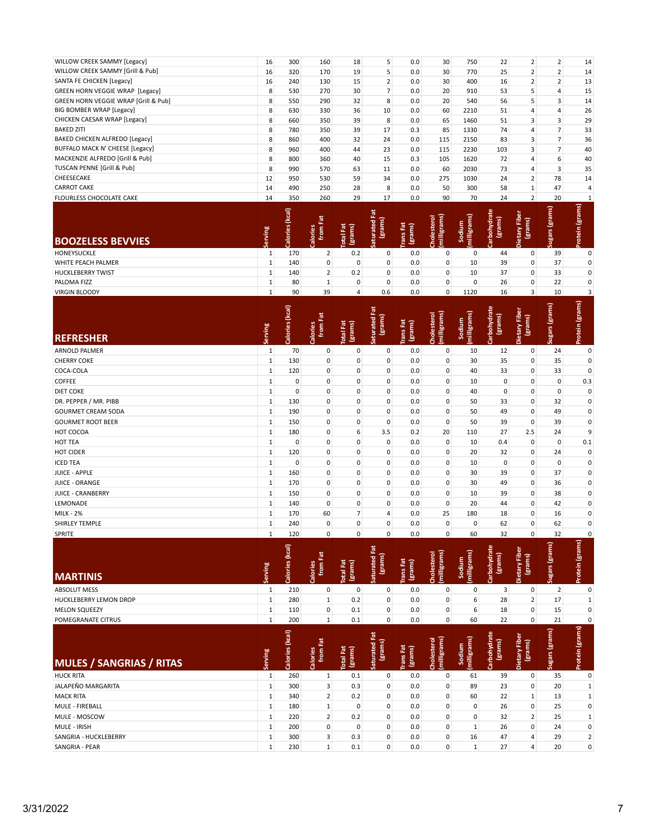| WILLOW CREEK SAMMY [Legacy]            | 16 | 300 | 160 | 18 | 5  | 0.0 | 30 <sup>1</sup> | 750  | 22  | $2^{\circ}$    | 2 <sup>1</sup> | 14 |
|----------------------------------------|----|-----|-----|----|----|-----|-----------------|------|-----|----------------|----------------|----|
| WILLOW CREEK SAMMY [Grill & Pub]       | 16 | 320 | 170 | 19 | 5  | 0.0 | 30              | 770  | 25  |                |                | 14 |
| SANTA FE CHICKEN [Legacy]              | 16 | 240 | 130 | 15 | 2  | 0.0 | 30              | 400  | 16  | $\overline{2}$ |                | 13 |
| <b>GREEN HORN VEGGIE WRAP [Legacy]</b> | 8  | 530 | 270 | 30 |    | 0.0 | 20              | 910  | 53  |                |                | 15 |
| GREEN HORN VEGGIE WRAP [Grill & Pub]   | 8  | 550 | 290 | 32 | 8  | 0.0 | 20              | 540  | 56  | 5              | 3              | 14 |
| BIG BOMBER WRAP [Legacy]               | 8  | 630 | 330 | 36 | 10 | 0.0 | 60              | 2210 | 51  | 4              |                | 26 |
| CHICKEN CAESAR WRAP [Legacy]           | 8  | 660 | 350 | 39 | 8  | 0.0 | 65              | 1460 | 51  | $\overline{3}$ |                | 29 |
| <b>BAKED ZITI</b>                      | 8  | 780 | 350 | 39 | 17 | 0.3 | 85              | 1330 | 74  | 4              |                | 33 |
| BAKED CHICKEN ALFREDO [Legacy]         | 8  | 860 | 400 | 32 | 24 | 0.0 | 115             | 2150 | 83  | 3              |                | 36 |
| BUFFALO MACK N' CHEESE [Legacy]        | 8  | 960 | 400 | 44 | 23 | 0.0 | 115             | 2230 | 103 | 3              |                | 40 |
| MACKENZIE ALFREDO [Grill & Pub]        | 8  | 800 | 360 | 40 | 15 | 0.3 | 105             | 1620 | 72  |                | 6              | 40 |
| TUSCAN PENNE [Grill & Pub]             | 8  | 990 | 570 | 63 | 11 | 0.0 | 60              | 2030 | 73  |                | 3              | 35 |
| CHEESECAKE                             | 12 | 950 | 530 | 59 | 34 | 0.0 | 275             | 1030 | 24  | $\overline{2}$ | 78             | 14 |
| <b>CARROT CAKE</b>                     | 14 | 490 | 250 | 28 | 8  | 0.0 | 50              | 300  | 58  | 1 <sup>1</sup> | 47             | 4  |
| <b>FLOURLESS CHOCOLATE CAKE</b>        | 14 | 350 | 260 | 29 | 17 | 0.0 | 90              | 70   | 24  | $2^{\circ}$    | 20             |    |

| <b>BOOZELESS BEVVIES</b> | ving<br>a<br>٢Ä             | (kcal)<br>Calories | 휸<br>alories<br>from                | otal Fat<br>(grams) | aturated Fat<br>(grams)<br>$\epsilon$   | rans Fat<br>(grams) | (milligrams)<br>Cholesterol | milligrams)<br>Sodium  | Carbohydrate<br>(grams) | 눕<br>Dietary Fibe<br>(grams)               | Sugars (grams) | Protein (grams) |
|--------------------------|-----------------------------|--------------------|-------------------------------------|---------------------|-----------------------------------------|---------------------|-----------------------------|------------------------|-------------------------|--------------------------------------------|----------------|-----------------|
| <b>HONEYSUCKLE</b>       |                             | 170                | 2                                   | 0.2                 | 0                                       | 0.0                 | $\mathbf{0}$                | 0                      | 44                      | 0                                          | 39             | 0               |
| WHITE PEACH PALMER       |                             | 140                | 0                                   | 0                   | 0                                       | 0.0                 | $\overline{0}$              | 10                     | 39                      | 0                                          | 37             | 0               |
| <b>HUCKLEBERRY TWIST</b> |                             | 140                | 2 <sub>1</sub>                      | 0.2                 | 0                                       | 0.0                 | 0                           | 10                     | 37                      | 0                                          | 33             | 0               |
| PALOMA FIZZ              |                             | 80                 |                                     | 0                   | 0                                       | 0.0                 | 0                           | $\mathbf 0$            | 26                      | 0                                          | 22             | 0               |
| <b>VIRGIN BLOODY</b>     |                             | 90                 | 39                                  | $\overline{4}$      | 0.6                                     | 0.0                 | $\mathbf{0}$                | 1120                   | 16                      | $\overline{3}$                             | 10             | 3               |
| <b>REFRESHER</b>         | ving<br>ω<br>$\overline{a}$ | Calories (kcal)    | E <sub>at</sub><br>Calories<br>from | otal Fat<br>(grams) | Fat<br>(grams)<br>aturated<br><b>un</b> | rans Fat<br>(grams) | Cholesterol<br>(milligrams) | (milligrams)<br>Sodium | tbohydrate<br>(grams)   | stary Fiber<br>(grams)<br>Dietary <b>I</b> | Sugars (grams) | Protein (grams) |
| <b>ARNOLD PALMER</b>     |                             | 70                 | 0                                   | 0                   | 0                                       | 0.0                 | $\mathbf{0}$                | 10                     | 12                      | 0                                          | 24             | $\mathbf 0$     |
| <b>CHERRY COKE</b>       |                             | 130                | 0                                   | 0                   | 0                                       | 0.0                 | 0                           | 30                     | 35                      | 0                                          | 35             | 0               |

| .                         |                 | ---      |              |                |                | $\ddotsc$ | . .          | --          | --          | . .          | --           |     |
|---------------------------|-----------------|----------|--------------|----------------|----------------|-----------|--------------|-------------|-------------|--------------|--------------|-----|
| COCA-COLA                 | $1\overline{ }$ | 120      | 0            | 0              | 0              | 0.0       | 0            | 40          | 33          | $\mathbf 0$  | 33           | 0   |
| <b>COFFEE</b>             | $\mathbf{1}$    | $\Omega$ | 0            | 0              | 0              | 0.0       | $\mathbf 0$  | 10          | 0           | 0            | $\mathbf{0}$ | 0.3 |
| <b>DIET COKE</b>          | $1\overline{ }$ | $\Omega$ | 0            | $\mathbf 0$    | $\mathbf{0}$   | 0.0       | $\mathbf{0}$ | 40          | $\mathbf 0$ | $\mathbf 0$  | $\mathbf{0}$ | 0   |
| DR. PEPPER / MR. PIBB     | $1\overline{ }$ | 130      | 0            | 0              | 0              | 0.0       | 0            | 50          | 33          | $\mathbf 0$  | 32           | 0   |
| <b>GOURMET CREAM SODA</b> |                 | 190      | 0            | 0              | $\mathbf 0$    | 0.0       | $\mathbf 0$  | 50          | 49          | $\mathbf 0$  | 49           | 0   |
| <b>GOURMET ROOT BEER</b>  |                 | 150      | 0            | $\mathbf 0$    | $\mathbf 0$    | 0.0       | $\mathbf{0}$ | 50          | 39          | $\mathbf 0$  | 39           | 0   |
| HOT COCOA                 | $1\overline{ }$ | 180      | 0            | 6              | 3.5            | 0.2       | 20           | 110         | 27          | 2.5          | 24           | 9   |
| <b>HOT TEA</b>            | $1\vert$        | $\Omega$ | 0            | $\mathbf 0$    | $\mathbf{0}$   | 0.0       | $\mathbf{0}$ | 10          | 0.4         | $\mathbf{0}$ | $\mathbf 0$  | 0.1 |
| HOT CIDER                 | $1\overline{ }$ | 120      | 0            | $\mathbf 0$    | $\mathbf 0$    | 0.0       | $\mathbf 0$  | 20          | 32          | $\mathbf{0}$ | 24           | 0   |
| <b>ICED TEA</b>           | $1\overline{ }$ | $\Omega$ | 0            | 0              | 0              | 0.0       | 0            | 10          | $\mathbf 0$ | 0            | $\mathbf 0$  | 0   |
| JUICE - APPLE             | $1\overline{ }$ | 160      | 0            | 0              | $\mathbf{0}$   | 0.0       | $\mathbf{0}$ | 30          | 39          | $\mathbf{0}$ | 37           | 0   |
| <b>JUICE - ORANGE</b>     |                 | 170      | 0            | $\mathbf 0$    | $\mathbf 0$    | 0.0       | $\mathbf 0$  | 30          | 49          | $\mathbf 0$  | 36           | 0   |
| <b>JUICE - CRANBERRY</b>  | $1\overline{ }$ | 150      | 0            | 0              | 0              | 0.0       | $\mathbf 0$  | 10          | 39          | $\mathbf 0$  | 38           | 0   |
| LEMONADE                  | $1\overline{ }$ | 140      | 0            | 0              | 0              | 0.0       | $\mathbf{0}$ | 20          | 44          | $\mathbf 0$  | 42           | 0   |
| <b>MILK - 2%</b>          | $1\overline{ }$ | 170      | 60           | 7 <sup>1</sup> | $\overline{4}$ | 0.0       | 25           | 180         | 18          | $\mathbf{0}$ | 16           | 0   |
| SHIRLEY TEMPLE            | 1               | 240      | 0            | $\mathbf 0$    | $\mathbf 0$    | 0.0       | $\mathbf{0}$ | $\mathbf 0$ | 62          | $\mathbf{0}$ | 62           | 0   |
| SPRITE                    | $1\overline{ }$ | 120      | $\mathbf{0}$ | 0              | $\mathbf{0}$   | 0.0       | 0            | 60          | 32          | $\mathbf{0}$ | 32           | 0   |

| <b>MARTINIS</b>                 | Serving      | Calories (kcal) | from Fat<br>Calories | <b>Total Fat</b><br>(grams) | Saturated Fat<br>(grams) | <b>Trans</b> Fat<br>(grams) | (milligrams)<br>Cholesterol | (milligrams)<br>Sodium | Carbohydrate<br>(grams) | Dietary Fiber<br>(grams) | Sugars (grams) | Protein (grams) |
|---------------------------------|--------------|-----------------|----------------------|-----------------------------|--------------------------|-----------------------------|-----------------------------|------------------------|-------------------------|--------------------------|----------------|-----------------|
| <b>ABSOLUT MESS</b>             | 1            | 210             | 0                    | $\mathbf 0$                 | 0                        | 0.0                         | 0                           | $\mathbf 0$            | 3                       | $\mathbf 0$              | $\overline{2}$ | $\mathbf 0$     |
| <b>HUCKLEBERRY LEMON DROP</b>   | $\mathbf{1}$ | 280             | $\mathbf{1}$         | 0.2                         | 0                        | 0.0                         | 0                           | 6                      | 28                      | $\overline{2}$           | 17             | 1               |
| <b>MELON SQUEEZY</b>            | $\mathbf{1}$ | 110             | 0                    | 0.1                         | $\mathbf 0$              | 0.0                         | 0                           | 6                      | 18                      | $\mathbf{0}$             | 15             | 0               |
| POMEGRANATE CITRUS              | $1\vert$     | 200             | 1                    | 0.1                         | 0                        | 0.0                         | $\mathbf 0$                 | 60                     | 22                      | $\mathbf{0}$             | 21             | 0               |
| <b>MULES / SANGRIAS / RITAS</b> | Serving      | Calories (kcal) | from Fat<br>Calories | <b>Total Fat</b><br>(grams) | Saturated Fat<br>(grams) | Trans Fat<br>(grams)        | (milligrams)<br>Cholesterol | (milligrams)<br>Sodium | Carbohydrate<br>(grams) | Dietary Fiber<br>(grams) | Sugars (grams) | Protein (grams) |
| <b>HUCK RITA</b>                | 1            | 260             | 1                    | 0.1                         | $\mathbf 0$              | 0.0                         | 0                           | 61                     | 39                      | 0                        | 35             | 0               |
| JALAPEÑO MARGARITA              | 1            | 300             | 3                    | 0.3                         | $\mathbf 0$              | 0.0                         | 0                           | 89                     | 23                      | $\mathbf 0$              | 20             | 1               |
| <b>MACK RITA</b>                | $\mathbf{1}$ | 340             | $\overline{2}$       | 0.2                         | 0                        | 0.0                         | $\mathbf 0$                 | 60                     | 22                      | 1                        | 13             | $\mathbf 1$     |
| MULE - FIREBALL                 | 1            | 180             | $\mathbf{1}$         | 0                           | 0                        | 0.0                         | 0                           | 0                      | 26                      | $\mathbf 0$              | 25             | 0               |
| MULE - MOSCOW                   | 1            | 220             | $\overline{2}$       | 0.2                         | $\mathbf 0$              | 0.0                         | 0                           | 0                      | 32                      | $\overline{2}$           | 25             | 1               |
| <b>MULE - IRISH</b>             |              |                 |                      |                             |                          |                             |                             |                        |                         |                          |                |                 |
|                                 | $\mathbf{1}$ | 200             | 0                    | $\mathbf 0$                 | $\mathbf 0$              | 0.0                         | 0                           | 1                      | 26                      | $\mathbf 0$              | 24             | 0               |
| SANGRIA - HUCKLEBERRY           | 1            | 300             | $\overline{3}$       | 0.3                         | $\mathbf 0$              | 0.0                         | $\mathbf 0$                 | 16                     | 47                      | 4                        | 29             | $\overline{2}$  |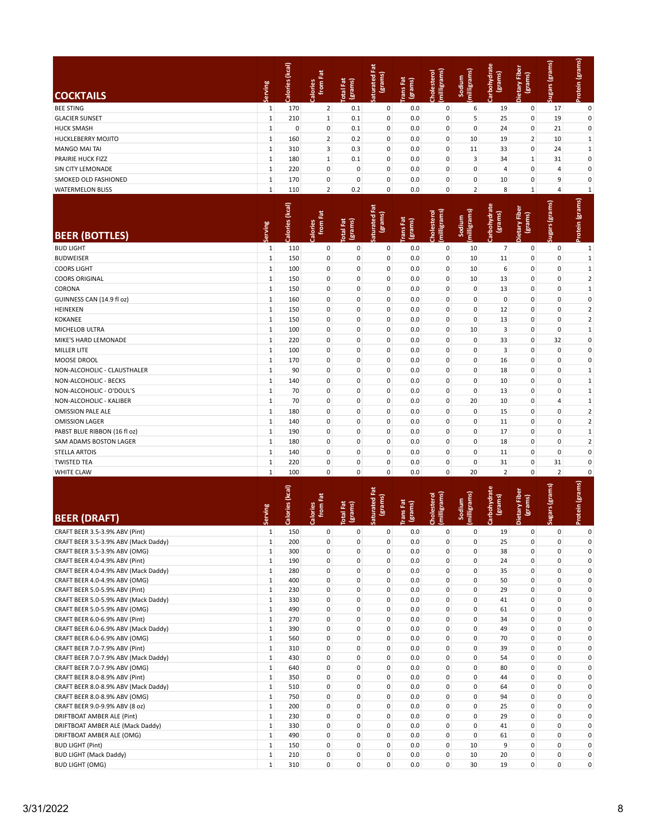|                                                                       |                              | Calories (kcal) | from Fat<br>Calories       | (grams)<br><b>Total Fat</b> | Saturated Fat<br>(grams)   | <b>TransFat</b><br>(grams) | (milligrams)<br>Cholesterol | (milligrams)<br>Sodium     | rbohydrate<br>(grams)   | Dietary Fiber<br>(grams) | Sugars (grams)           | Protein (grams)          |
|-----------------------------------------------------------------------|------------------------------|-----------------|----------------------------|-----------------------------|----------------------------|----------------------------|-----------------------------|----------------------------|-------------------------|--------------------------|--------------------------|--------------------------|
| <b>COCKTAILS</b>                                                      | Serving                      |                 |                            |                             |                            |                            |                             |                            | తె                      |                          |                          |                          |
| <b>BEE STING</b>                                                      | $\mathbf{1}$                 | 170             | $\mathbf 2$                | 0.1                         | 0                          | 0.0                        | 0                           | 6                          | 19                      | 0                        | 17                       | $\pmb{0}$                |
| <b>GLACIER SUNSET</b>                                                 | $\mathbf 1$                  | 210             | $\mathbf{1}$               | 0.1                         | $\mathbf 0$                | 0.0                        | 0                           | 5                          | 25                      | 0                        | 19                       | $\pmb{0}$                |
| <b>HUCK SMASH</b>                                                     | 1                            | $\mathbf 0$     | 0                          | 0.1                         | 0                          | 0.0                        | 0                           | $\mathbf 0$                | 24                      | 0                        | 21                       | $\pmb{0}$                |
| HUCKLEBERRY MOJITO                                                    | 1                            | 160             | $\overline{2}$             | 0.2                         | $\pmb{0}$                  | 0.0                        | 0                           | 10                         | 19                      | $\overline{2}$           | 10                       | $\mathbf 1$              |
| <b>MANGO MAI TAI</b>                                                  | $\mathbf{1}$                 | 310             | 3                          | 0.3                         | $\pmb{0}$                  | 0.0                        | 0                           | 11                         | 33                      | 0                        | 24                       | $\mathbf 1$              |
| PRAIRIE HUCK FIZZ                                                     | $\mathbf 1$                  | 180             | $\mathbf{1}$               | 0.1                         | $\pmb{0}$                  | 0.0                        | 0                           | 3                          | 34                      | $\mathbf 1$              | 31                       | $\pmb{0}$                |
| <b>SIN CITY LEMONADE</b>                                              | $\mathbf{1}$                 | 220             | $\pmb{0}$                  | 0                           | $\pmb{0}$                  | 0.0                        | 0                           | $\mathbf 0$                | 4                       | 0                        | 4                        | $\pmb{0}$                |
| SMOKED OLD FASHIONED<br><b>WATERMELON BLISS</b>                       | $\mathbf{1}$<br>$\mathbf{1}$ | 170<br>110      | 0<br>$\overline{2}$        | 0<br>0.2                    | $\pmb{0}$<br>$\pmb{0}$     | 0.0<br>0.0                 | 0<br>$\mathbf 0$            | 0<br>$\overline{2}$        | 10<br>8                 | 0<br>$\mathbf 1$         | 9<br>$\overline{4}$      | 0<br>$\mathbf 1$         |
|                                                                       |                              |                 |                            |                             |                            |                            |                             |                            |                         |                          |                          |                          |
| <b>BEER (BOTTLES)</b>                                                 | Serving                      | Calories (kcal) | from Fat<br>Calories       | <b>Total Fat</b><br>(grams) | Saturated Fat<br>(grams)   | rans Fat<br>(grams)        | milligrams<br>Cholesterol   | (milligrams)<br>Sodium     | rbohydrate<br>(grams)   | Dietary Fiber<br>(grams) | Sugars (grams)           | Protein (grams)          |
| <b>BUD LIGHT</b>                                                      | $\mathbf{1}$                 | 110             | $\pmb{0}$                  | 0                           | 0                          | 0.0                        | 0                           | 10                         | $\overline{7}$          | 0                        | $\pmb{0}$                | $\mathbf 1$              |
| <b>BUDWEISER</b>                                                      | $\mathbf{1}$                 | 150             | 0                          | 0                           | 0                          | 0.0                        | 0                           | 10                         | 11                      | 0                        | 0                        | $\mathbf 1$              |
| <b>COORS LIGHT</b>                                                    | $\mathbf{1}$                 | 100             | $\pmb{0}$                  | 0                           | 0                          | 0.0                        | 0                           | 10                         | 6                       | 0                        | 0                        | $\mathbf 1$              |
| <b>COORS ORIGINAL</b>                                                 | $\mathbf{1}$                 | 150             | $\pmb{0}$                  | 0                           | $\pmb{0}$                  | 0.0                        | 0                           | 10                         | 13                      | 0                        | 0                        | $\overline{\mathbf{c}}$  |
| CORONA                                                                | $\mathbf 1$                  | 150             | $\pmb{0}$                  | 0                           | $\pmb{0}$                  | 0.0                        | 0                           | $\pmb{0}$                  | 13                      | 0                        | 0                        | $\mathbf 1$              |
| GUINNESS CAN (14.9 fl oz)                                             | 1                            | 160             | $\pmb{0}$                  | 0                           | $\pmb{0}$                  | 0.0                        | 0                           | $\mathbf 0$                | $\pmb{0}$               | 0                        | 0                        | $\pmb{0}$                |
| HEINEKEN                                                              | $\mathbf{1}$                 | 150             | $\mathbf 0$                | 0                           | $\pmb{0}$                  | 0.0                        | 0                           | $\mathbf 0$                | 12                      | 0                        | 0                        | $\overline{\mathbf{c}}$  |
| <b>KOKANEE</b>                                                        | $\mathbf{1}$                 | 150             | $\mathbf 0$                | 0                           | $\pmb{0}$                  | 0.0                        | 0                           | $\mathbf 0$                | 13                      | 0                        | 0                        | $\overline{2}$           |
| MICHELOB ULTRA                                                        | $\mathbf 1$                  | 100<br>220      | $\pmb{0}$<br>$\mathbf 0$   | 0<br>0                      | 0<br>$\pmb{0}$             | 0.0                        | 0<br>0                      | 10<br>$\mathbf 0$          | 3                       | 0<br>0                   | 0                        | $\mathbf 1$<br>$\pmb{0}$ |
| MIKE'S HARD LEMONADE<br><b>MILLER LITE</b>                            | $\mathbf 1$<br>$\mathbf{1}$  | 100             | $\pmb{0}$                  | 0                           | $\pmb{0}$                  | 0.0<br>0.0                 | 0                           | $\mathbf 0$                | 33<br>3                 | 0                        | 32<br>$\mathbf 0$        | $\mathbf 0$              |
| MOOSE DROOL                                                           | $\mathbf{1}$                 | 170             | $\pmb{0}$                  | 0                           | 0                          | 0.0                        | 0                           | $\mathbf 0$                | 16                      | 0                        | 0                        | $\pmb{0}$                |
| NON-ALCOHOLIC - CLAUSTHALER                                           | $\mathbf{1}$                 | 90              | $\pmb{0}$                  | 0                           | 0                          | 0.0                        | 0                           | $\mathbf 0$                | 18                      | 0                        | 0                        | $\mathbf 1$              |
| NON-ALCOHOLIC - BECKS                                                 | $\mathbf 1$                  | 140             | $\pmb{0}$                  | 0                           | $\pmb{0}$                  | 0.0                        | 0                           | $\mathbf 0$                | 10                      | 0                        | 0                        | $\mathbf 1$              |
| NON-ALCOHOLIC - O'DOUL'S                                              | $\mathbf 1$                  | 70              | $\pmb{0}$                  | 0                           | $\pmb{0}$                  | 0.0                        | 0                           | $\mathbf 0$                | 13                      | 0                        | 0                        | $\mathbf 1$              |
| NON-ALCOHOLIC - KALIBER                                               | $\mathbf{1}$                 | 70              | 0                          | 0                           | 0                          | 0.0                        | 0                           | 20                         | 10                      | 0                        | 4                        | $\mathbf 1$              |
| <b>OMISSION PALE ALE</b>                                              | $\mathbf{1}$                 | 180             | $\mathbf 0$                | 0                           | $\pmb{0}$                  | 0.0                        | 0                           | $\mathbf 0$                | 15                      | 0                        | 0                        | $\overline{\mathbf{c}}$  |
| <b>OMISSION LAGER</b>                                                 | $\mathbf{1}$                 | 140             | $\pmb{0}$                  | 0                           | 0                          | 0.0                        | 0                           | $\mathbf 0$                | 11                      | 0                        | 0                        | $\overline{2}$           |
| PABST BLUE RIBBON (16 fl oz)                                          | $\mathbf 1$                  | 190             | $\pmb{0}$                  | 0                           | $\pmb{0}$                  | 0.0                        | 0                           | $\mathbf 0$                | 17                      | 0                        | 0                        | $\mathbf 1$              |
| SAM ADAMS BOSTON LAGER                                                | $\mathbf{1}$                 | 180             | $\pmb{0}$                  | 0                           | $\pmb{0}$                  | 0.0                        | 0                           | $\mathbf 0$                | 18                      | 0                        | 0                        | $\overline{\mathbf{c}}$  |
| <b>STELLA ARTOIS</b>                                                  | 1                            | 140             | 0                          | 0                           | $\pmb{0}$                  | 0.0                        | 0                           | 0                          | 11                      | 0                        | $\mathbf 0$              | $\mathbf 0$              |
| <b>TWISTED TEA</b>                                                    | $\mathbf{1}$                 | 220             | $\pmb{0}$                  | 0                           | $\pmb{0}$                  | 0.0                        | 0                           | $\pmb{0}$                  | 31                      | 0                        | 31                       | $\mathbf 0$              |
| <b>WHITE CLAW</b>                                                     | $\mathbf{1}$                 | 100             | $\mathbf 0$                | $\mathbf 0$                 | $\mathbf 0$                | 0.0                        | $\mathbf 0$                 | 20                         | $\overline{2}$          | $\mathbf{0}$             | $\overline{2}$           | 0                        |
| <b>BEER (DRAFT)</b>                                                   | Serving                      | Calories (kcal) | from Fat<br>Calories       | <b>Total Fat</b><br>(grams) | Saturated Fat<br>(grams)   | rans Fat<br>(grams)        | milligrams)<br>Cholestero   | Sodium<br>(milligrams)     | Carbohydrate<br>(grams) | Dietary Fiber<br>(grams) | Sugars (grams)           | Protein (grams)          |
| CRAFT BEER 3.5-3.9% ABV (Pint)                                        | 1                            | 150             | 0                          | 0                           | 0                          | 0.0                        | 0                           | 0                          | 19                      | 0                        | 0                        | 0                        |
| CRAFT BEER 3.5-3.9% ABV (Mack Daddy)                                  | $\mathbf{1}$<br>$\mathbf 1$  | 200<br>300      | $\mathbf 0$<br>$\mathbf 0$ | 0<br>$\mathbf 0$            | $\pmb{0}$<br>$\mathbf 0$   | 0.0                        | 0<br>0                      | $\mathbf 0$<br>$\mathbf 0$ | 25                      | 0<br>0                   | $\pmb{0}$<br>$\mathbf 0$ | 0<br>$\mathbf 0$         |
| CRAFT BEER 3.5-3.9% ABV (OMG)<br>CRAFT BEER 4.0-4.9% ABV (Pint)       | $\mathbf 1$                  | 190             | $\pmb{0}$                  | 0                           | $\mathbf 0$                | 0.0<br>0.0                 | 0                           | $\mathbf 0$                | 38<br>24                | $\mathsf 0$              | 0                        | 0                        |
| CRAFT BEER 4.0-4.9% ABV (Mack Daddy)                                  | $\mathbf 1$                  | 280             | $\pmb{0}$                  | $\pmb{0}$                   | $\pmb{0}$                  | 0.0                        | 0                           | $\mathbf 0$                | 35                      | 0                        | 0                        | $\pmb{0}$                |
| CRAFT BEER 4.0-4.9% ABV (OMG)                                         | $\mathbf 1$                  | 400             | $\pmb{0}$                  | 0                           | $\mathbf 0$                | 0.0                        | 0                           | $\mathbf 0$                | 50                      | 0                        | 0                        | $\pmb{0}$                |
| CRAFT BEER 5.0-5.9% ABV (Pint)                                        | $\mathbf{1}$                 | 230             | $\mathbf 0$                | $\pmb{0}$                   | $\mathbf 0$                | 0.0                        | 0                           | $\mathbf 0$                | 29                      | 0                        | 0                        | 0                        |
| CRAFT BEER 5.0-5.9% ABV (Mack Daddy)                                  | $\mathbf{1}$                 | 330             | $\mathbf 0$                | 0                           | $\mathbf 0$                | 0.0                        | 0                           | $\mathbf 0$                | 41                      | 0                        | 0                        | 0                        |
| CRAFT BEER 5.0-5.9% ABV (OMG)                                         | $\mathbf{1}$                 | 490             | $\mathbf 0$                | $\pmb{0}$                   | $\mathbf 0$                | 0.0                        | 0                           | $\mathbf 0$                | 61                      | 0                        | 0                        | 0                        |
| CRAFT BEER 6.0-6.9% ABV (Pint)                                        | $\mathbf{1}$                 | 270             | $\pmb{0}$                  | $\pmb{0}$                   | $\mathbf 0$                | 0.0                        | 0                           | $\mathbf 0$                | 34                      | $\mathsf 0$              | 0                        | 0                        |
| CRAFT BEER 6.0-6.9% ABV (Mack Daddy)                                  | $\mathbf{1}$                 | 390             | $\mathbf 0$                | 0                           | $\mathbf 0$                | 0.0                        | 0                           | $\mathbf 0$                | 49                      | 0                        | 0                        | 0                        |
| CRAFT BEER 6.0-6.9% ABV (OMG)                                         | $\mathbf 1$                  | 560             | $\pmb{0}$                  | 0                           | $\mathbf 0$                | 0.0                        | 0                           | $\mathbf 0$                | 70                      | 0                        | $\mathbf 0$              | 0                        |
| CRAFT BEER 7.0-7.9% ABV (Pint)                                        | $\mathbf{1}$                 | 310             | $\mathbf 0$<br>$\mathbf 0$ | 0                           | $\mathbf 0$                | 0.0                        | $\mathbf{0}$                | $\mathbf 0$                | 39                      | 0                        | 0                        | 0                        |
| CRAFT BEER 7.0-7.9% ABV (Mack Daddy)<br>CRAFT BEER 7.0-7.9% ABV (OMG) | $\mathbf{1}$<br>$\mathbf{1}$ | 430<br>640      | $\mathbf 0$                | 0<br>$\mathbf 0$            | $\mathbf 0$<br>$\mathbf 0$ | 0.0<br>0.0                 | 0<br>0                      | $\mathbf 0$<br>$\mathbf 0$ | 54<br>80                | $\mathbf{0}$<br>0        | 0<br>0                   | $\mathbf 0$<br>0         |
| CRAFT BEER 8.0-8.9% ABV (Pint)                                        | $\mathbf{1}$                 | 350             | $\mathbf 0$                | $\mathbf 0$                 | $\mathbf 0$                | 0.0                        | 0                           | $\mathbf 0$                | 44                      | 0                        | $\mathbf 0$              | $\mathbf 0$              |
| CRAFT BEER 8.0-8.9% ABV (Mack Daddy)                                  | $\mathbf{1}$                 | 510             | $\mathbf 0$                | $\pmb{0}$                   | $\mathbf 0$                | 0.0                        | 0                           | $\mathbf 0$                | 64                      | 0                        | 0                        | 0                        |
| CRAFT BEER 8.0-8.9% ABV (OMG)                                         | $\mathbf{1}$                 | 750             | $\mathbf 0$                | 0                           | $\mathbf 0$                | 0.0                        | 0                           | $\mathbf 0$                | 94                      | 0                        | $\mathbf 0$              | 0                        |
| CRAFT BEER 9.0-9.9% ABV (8 oz)                                        | $\mathbf{1}$                 | 200             | $\mathbf 0$                | 0                           | $\pmb{0}$                  | 0.0                        | 0                           | $\mathbf 0$                | 25                      | 0                        | 0                        | 0                        |
| DRIFTBOAT AMBER ALE (Pint)                                            | $\mathbf 1$                  | 230             | $\mathbf 0$                | $\pmb{0}$                   | $\mathbf 0$                | 0.0                        | 0                           | $\mathbf 0$                | 29                      | 0                        | 0                        | 0                        |
| DRIFTBOAT AMBER ALE (Mack Daddy)                                      | $\mathbf 1$                  | 330             | $\pmb{0}$                  | 0                           | $\mathbf 0$                | 0.0                        | 0                           | $\pmb{0}$                  | 41                      | 0                        | 0                        | $\pmb{0}$                |
| DRIFTBOAT AMBER ALE (OMG)                                             | $\mathbf{1}$                 | 490             | $\pmb{0}$                  | $\pmb{0}$                   | $\mathbf 0$                | 0.0                        | 0                           | $\mathbf 0$                | 61                      | 0                        | 0                        | $\pmb{0}$                |
| <b>BUD LIGHT (Pint)</b>                                               | $\mathbf 1$                  | 150             | $\pmb{0}$                  | $\pmb{0}$                   | $\mathbf 0$                | 0.0                        | $\mathsf 0$                 | 10                         | 9                       | $\mathsf 0$              | 0                        | $\pmb{0}$                |
| <b>BUD LIGHT (Mack Daddy)</b>                                         | $\mathbf{1}$                 | 210             | $\pmb{0}$                  | 0                           | $\mathbf 0$                | 0.0                        | 0                           | 10                         | 20                      | 0                        | 0                        | $\pmb{0}$                |
| <b>BUD LIGHT (OMG)</b>                                                | $1\overline{ }$              | 310             | $\mathbf 0$                | $\mathbf 0$                 | $\mathbf 0$                | 0.0                        | $\mathbf{0}$                | 30                         | 19                      | $\mathbf{0}$             | $\mathbf 0$              | $\mathbf{0}$             |

BUD LIGHT (OMG)